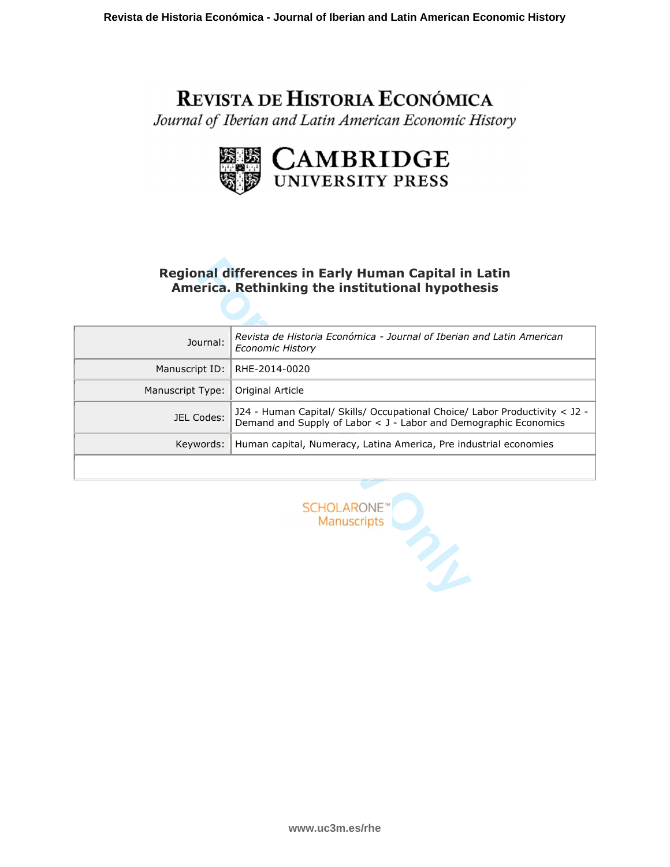# REVISTA DE HISTORIA ECONÓMICA

Journal of Iberian and Latin American Economic History



# **Regional differences in Early Human Capital in Latin America. Rethinking the institutional hypothesis**

|                  | Regional differences in Early Human Capital in Latin<br>America. Rethinking the institutional hypothesis                                        |
|------------------|-------------------------------------------------------------------------------------------------------------------------------------------------|
|                  |                                                                                                                                                 |
| Journal:         | Revista de Historia Económica - Journal of Iberian and Latin American<br><b>Economic History</b>                                                |
| Manuscript ID:   | RHE-2014-0020                                                                                                                                   |
| Manuscript Type: | Original Article                                                                                                                                |
| JEL Codes:       | J24 - Human Capital/ Skills/ Occupational Choice/ Labor Productivity < J2 -<br>Demand and Supply of Labor < J - Labor and Demographic Economics |
| Keywords:        | Human capital, Numeracy, Latina America, Pre industrial economies                                                                               |
|                  |                                                                                                                                                 |
|                  | <b>SCHOLARONE</b><br><b>Manuscripts</b>                                                                                                         |

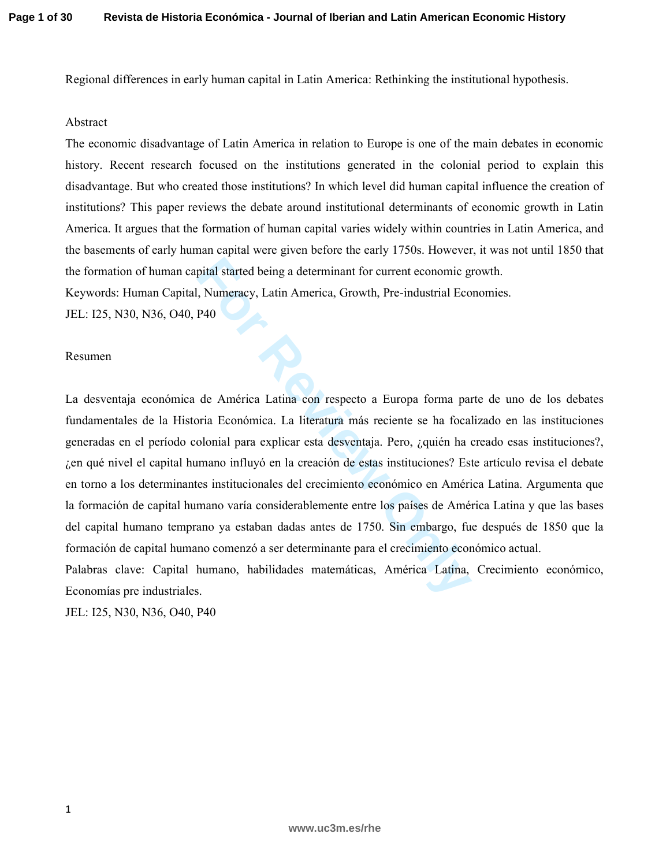Regional differences in early human capital in Latin America: Rethinking the institutional hypothesis.

## Abstract

The economic disadvantage of Latin America in relation to Europe is one of the main debates in economic history. Recent research focused on the institutions generated in the colonial period to explain this disadvantage. But who created those institutions? In which level did human capital influence the creation of institutions? This paper reviews the debate around institutional determinants of economic growth in Latin America. It argues that the formation of human capital varies widely within countries in Latin America, and the basements of early human capital were given before the early 1750s. However, it was not until 1850 that the formation of human capital started being a determinant for current economic growth.

Keywords: Human Capital, Numeracy, Latin America, Growth, Pre-industrial Economies.

JEL: I25, N30, N36, O40, P40

### Resumen

pital started being a determinant for current economic g<br>
Numeracy, Latin America, Growth, Pre-industrial Eco<br>
P40<br>
de América Latina con respecto a Europa forma par<br>
oria Económica. La literatura más reciente se ha foca<br> La desventaja económica de América Latina con respecto a Europa forma parte de uno de los debates fundamentales de la Historia Económica. La literatura más reciente se ha focalizado en las instituciones generadas en el período colonial para explicar esta desventaja. Pero, ¿quién ha creado esas instituciones?, ¿en qué nivel el capital humano influyó en la creación de estas instituciones? Este artículo revisa el debate en torno a los determinantes institucionales del crecimiento económico en América Latina. Argumenta que la formación de capital humano varía considerablemente entre los países de América Latina y que las bases del capital humano temprano ya estaban dadas antes de 1750. Sin embargo, fue después de 1850 que la formación de capital humano comenzó a ser determinante para el crecimiento económico actual.

Palabras clave: Capital humano, habilidades matemáticas, América Latina, Crecimiento económico, Economías pre industriales.

JEL: I25, N30, N36, O40, P40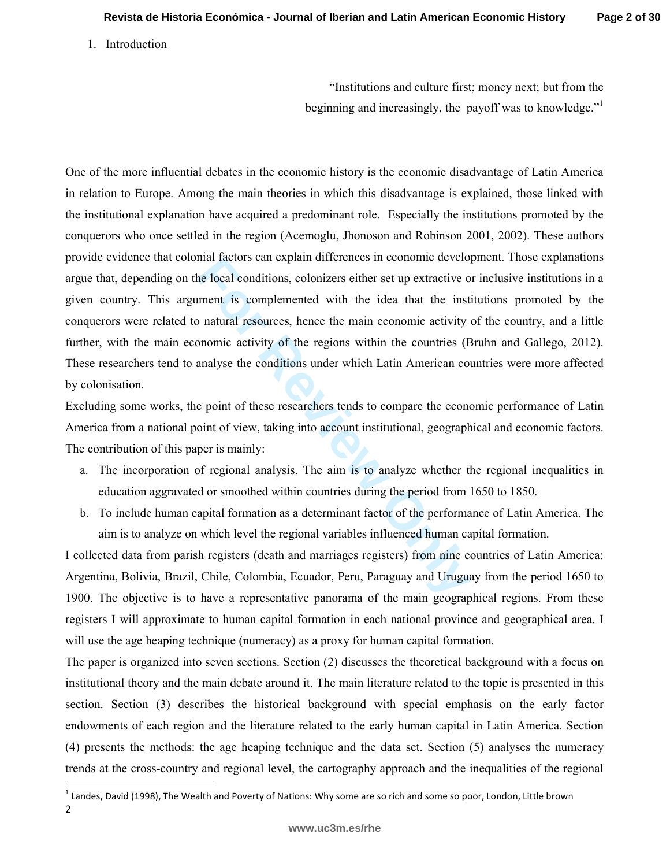1. Introduction

l

"Institutions and culture first; money next; but from the beginning and increasingly, the payoff was to knowledge."<sup>1</sup>

mai ractors can explain differences in economic develop-<br> **For Review Or and Alter Scheme Scheme Scheme Scheme Scheme Scheme Scheme Scheme Scheme Scheme Scheme Scheme Scheme Scheme Scheme Scheme Scheme Scheme Scheme Scheme** One of the more influential debates in the economic history is the economic disadvantage of Latin America in relation to Europe. Among the main theories in which this disadvantage is explained, those linked with the institutional explanation have acquired a predominant role. Especially the institutions promoted by the conquerors who once settled in the region (Acemoglu, Jhonoson and Robinson 2001, 2002). These authors provide evidence that colonial factors can explain differences in economic development. Those explanations argue that, depending on the local conditions, colonizers either set up extractive or inclusive institutions in a given country. This argument is complemented with the idea that the institutions promoted by the conquerors were related to natural resources, hence the main economic activity of the country, and a little further, with the main economic activity of the regions within the countries (Bruhn and Gallego, 2012). These researchers tend to analyse the conditions under which Latin American countries were more affected by colonisation.

Excluding some works, the point of these researchers tends to compare the economic performance of Latin America from a national point of view, taking into account institutional, geographical and economic factors. The contribution of this paper is mainly:

- a. The incorporation of regional analysis. The aim is to analyze whether the regional inequalities in education aggravated or smoothed within countries during the period from 1650 to 1850.
- b. To include human capital formation as a determinant factor of the performance of Latin America. The aim is to analyze on which level the regional variables influenced human capital formation.

I collected data from parish registers (death and marriages registers) from nine countries of Latin America: Argentina, Bolivia, Brazil, Chile, Colombia, Ecuador, Peru, Paraguay and Uruguay from the period 1650 to 1900. The objective is to have a representative panorama of the main geographical regions. From these registers I will approximate to human capital formation in each national province and geographical area. I will use the age heaping technique (numeracy) as a proxy for human capital formation.

The paper is organized into seven sections. Section (2) discusses the theoretical background with a focus on institutional theory and the main debate around it. The main literature related to the topic is presented in this section. Section (3) describes the historical background with special emphasis on the early factor endowments of each region and the literature related to the early human capital in Latin America. Section (4) presents the methods: the age heaping technique and the data set. Section (5) analyses the numeracy trends at the cross-country and regional level, the cartography approach and the inequalities of the regional

<sup>2</sup>   $^1$  Landes, David (1998), The Wealth and Poverty of Nations: Why some are so rich and some so poor, London, Little brown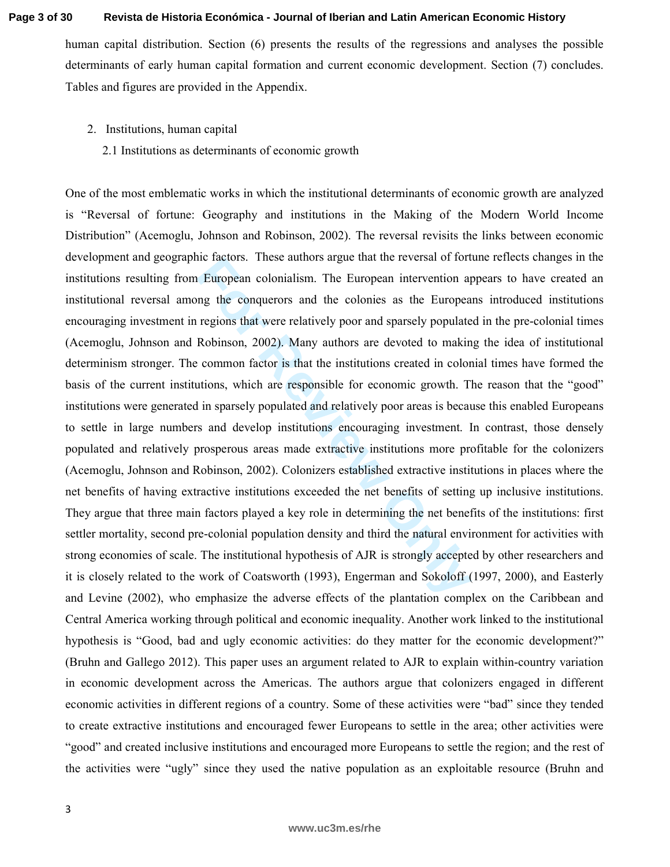human capital distribution. Section (6) presents the results of the regressions and analyses the possible determinants of early human capital formation and current economic development. Section (7) concludes. Tables and figures are provided in the Appendix.

- 2. Institutions, human capital
	- 2.1 Institutions as determinants of economic growth

**For Review Only** One of the most emblematic works in which the institutional determinants of economic growth are analyzed is "Reversal of fortune: Geography and institutions in the Making of the Modern World Income Distribution" (Acemoglu, Johnson and Robinson, 2002). The reversal revisits the links between economic development and geographic factors. These authors argue that the reversal of fortune reflects changes in the institutions resulting from European colonialism. The European intervention appears to have created an institutional reversal among the conquerors and the colonies as the Europeans introduced institutions encouraging investment in regions that were relatively poor and sparsely populated in the pre-colonial times (Acemoglu, Johnson and Robinson, 2002). Many authors are devoted to making the idea of institutional determinism stronger. The common factor is that the institutions created in colonial times have formed the basis of the current institutions, which are responsible for economic growth. The reason that the "good" institutions were generated in sparsely populated and relatively poor areas is because this enabled Europeans to settle in large numbers and develop institutions encouraging investment. In contrast, those densely populated and relatively prosperous areas made extractive institutions more profitable for the colonizers (Acemoglu, Johnson and Robinson, 2002). Colonizers established extractive institutions in places where the net benefits of having extractive institutions exceeded the net benefits of setting up inclusive institutions. They argue that three main factors played a key role in determining the net benefits of the institutions: first settler mortality, second pre-colonial population density and third the natural environment for activities with strong economies of scale. The institutional hypothesis of AJR is strongly accepted by other researchers and it is closely related to the work of Coatsworth (1993), Engerman and Sokoloff (1997, 2000), and Easterly and Levine (2002), who emphasize the adverse effects of the plantation complex on the Caribbean and Central America working through political and economic inequality. Another work linked to the institutional hypothesis is "Good, bad and ugly economic activities: do they matter for the economic development?" (Bruhn and Gallego 2012). This paper uses an argument related to AJR to explain within-country variation in economic development across the Americas. The authors argue that colonizers engaged in different economic activities in different regions of a country. Some of these activities were "bad" since they tended to create extractive institutions and encouraged fewer Europeans to settle in the area; other activities were "good" and created inclusive institutions and encouraged more Europeans to settle the region; and the rest of the activities were "ugly" since they used the native population as an exploitable resource (Bruhn and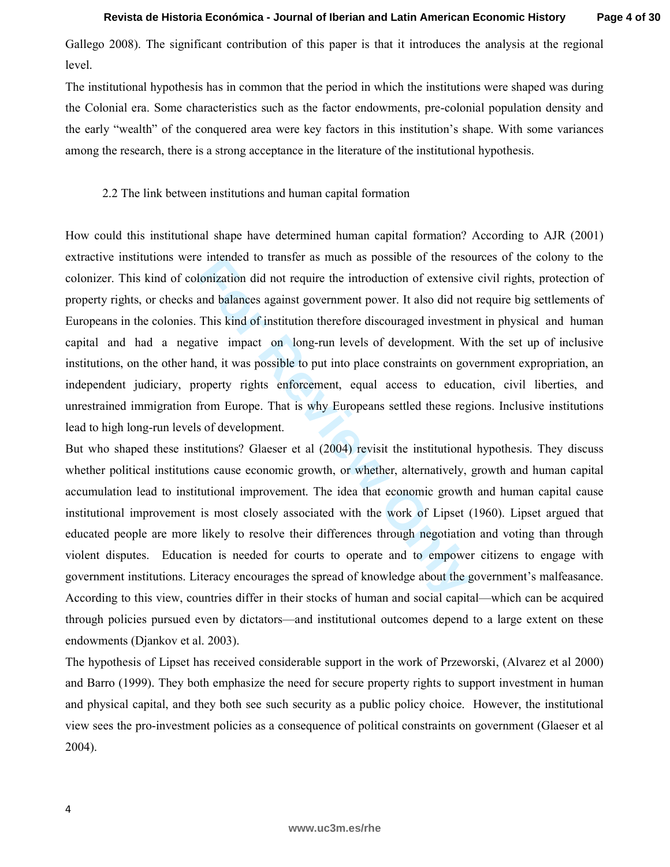Gallego 2008). The significant contribution of this paper is that it introduces the analysis at the regional level.

The institutional hypothesis has in common that the period in which the institutions were shaped was during the Colonial era. Some characteristics such as the factor endowments, pre-colonial population density and the early "wealth" of the conquered area were key factors in this institution's shape. With some variances among the research, there is a strong acceptance in the literature of the institutional hypothesis.

### 2.2 The link between institutions and human capital formation

E intended to transfer as much as possible of the reso<br>
lonization did not require the introduction of extensive<br>
and balances against government power. It also did not<br>
This kind of institution therefore discouraged inves How could this institutional shape have determined human capital formation? According to AJR (2001) extractive institutions were intended to transfer as much as possible of the resources of the colony to the colonizer. This kind of colonization did not require the introduction of extensive civil rights, protection of property rights, or checks and balances against government power. It also did not require big settlements of Europeans in the colonies. This kind of institution therefore discouraged investment in physical and human capital and had a negative impact on long-run levels of development. With the set up of inclusive institutions, on the other hand, it was possible to put into place constraints on government expropriation, an independent judiciary, property rights enforcement, equal access to education, civil liberties, and unrestrained immigration from Europe. That is why Europeans settled these regions. Inclusive institutions lead to high long-run levels of development.

But who shaped these institutions? Glaeser et al (2004) revisit the institutional hypothesis. They discuss whether political institutions cause economic growth, or whether, alternatively, growth and human capital accumulation lead to institutional improvement. The idea that economic growth and human capital cause institutional improvement is most closely associated with the work of Lipset (1960). Lipset argued that educated people are more likely to resolve their differences through negotiation and voting than through violent disputes. Education is needed for courts to operate and to empower citizens to engage with government institutions. Literacy encourages the spread of knowledge about the government's malfeasance. According to this view, countries differ in their stocks of human and social capital—which can be acquired through policies pursued even by dictators—and institutional outcomes depend to a large extent on these endowments (Djankov et al. 2003).

The hypothesis of Lipset has received considerable support in the work of Przeworski, (Alvarez et al 2000) and Barro (1999). They both emphasize the need for secure property rights to support investment in human and physical capital, and they both see such security as a public policy choice. However, the institutional view sees the pro-investment policies as a consequence of political constraints on government (Glaeser et al 2004).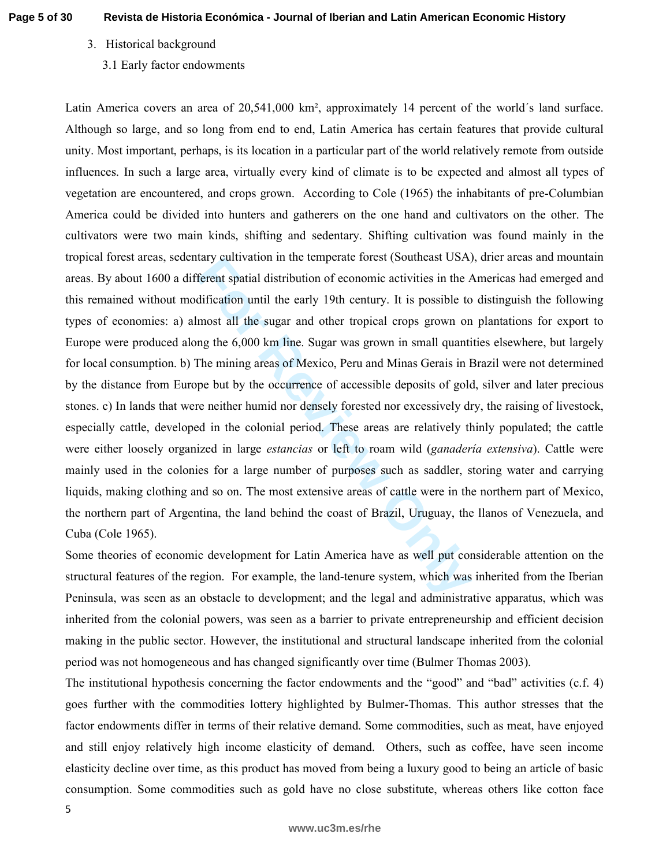# 3. Historical background

# 3.1 Early factor endowments

ary cuntration in the temperate forest (soutneast USA, ferent spatial distribution of economic activities in the *A* dification until the early 19th century. It is possible to most all the sugar and other tropical crops gr Latin America covers an area of 20,541,000 km², approximately 14 percent of the world´s land surface. Although so large, and so long from end to end, Latin America has certain features that provide cultural unity. Most important, perhaps, is its location in a particular part of the world relatively remote from outside influences. In such a large area, virtually every kind of climate is to be expected and almost all types of vegetation are encountered, and crops grown. According to Cole (1965) the inhabitants of pre-Columbian America could be divided into hunters and gatherers on the one hand and cultivators on the other. The cultivators were two main kinds, shifting and sedentary. Shifting cultivation was found mainly in the tropical forest areas, sedentary cultivation in the temperate forest (Southeast USA), drier areas and mountain areas. By about 1600 a different spatial distribution of economic activities in the Americas had emerged and this remained without modification until the early 19th century. It is possible to distinguish the following types of economies: a) almost all the sugar and other tropical crops grown on plantations for export to Europe were produced along the 6,000 km line. Sugar was grown in small quantities elsewhere, but largely for local consumption. b) The mining areas of Mexico, Peru and Minas Gerais in Brazil were not determined by the distance from Europe but by the occurrence of accessible deposits of gold, silver and later precious stones. c) In lands that were neither humid nor densely forested nor excessively dry, the raising of livestock, especially cattle, developed in the colonial period. These areas are relatively thinly populated; the cattle were either loosely organized in large *estancias* or left to roam wild (*ganadería extensiva*). Cattle were mainly used in the colonies for a large number of purposes such as saddler, storing water and carrying liquids, making clothing and so on. The most extensive areas of cattle were in the northern part of Mexico, the northern part of Argentina, the land behind the coast of Brazil, Uruguay, the llanos of Venezuela, and Cuba (Cole 1965).

Some theories of economic development for Latin America have as well put considerable attention on the structural features of the region. For example, the land-tenure system, which was inherited from the Iberian Peninsula, was seen as an obstacle to development; and the legal and administrative apparatus, which was inherited from the colonial powers, was seen as a barrier to private entrepreneurship and efficient decision making in the public sector. However, the institutional and structural landscape inherited from the colonial period was not homogeneous and has changed significantly over time (Bulmer Thomas 2003).

The institutional hypothesis concerning the factor endowments and the "good" and "bad" activities (c.f. 4) goes further with the commodities lottery highlighted by Bulmer-Thomas. This author stresses that the factor endowments differ in terms of their relative demand. Some commodities, such as meat, have enjoyed and still enjoy relatively high income elasticity of demand. Others, such as coffee, have seen income elasticity decline over time, as this product has moved from being a luxury good to being an article of basic consumption. Some commodities such as gold have no close substitute, whereas others like cotton face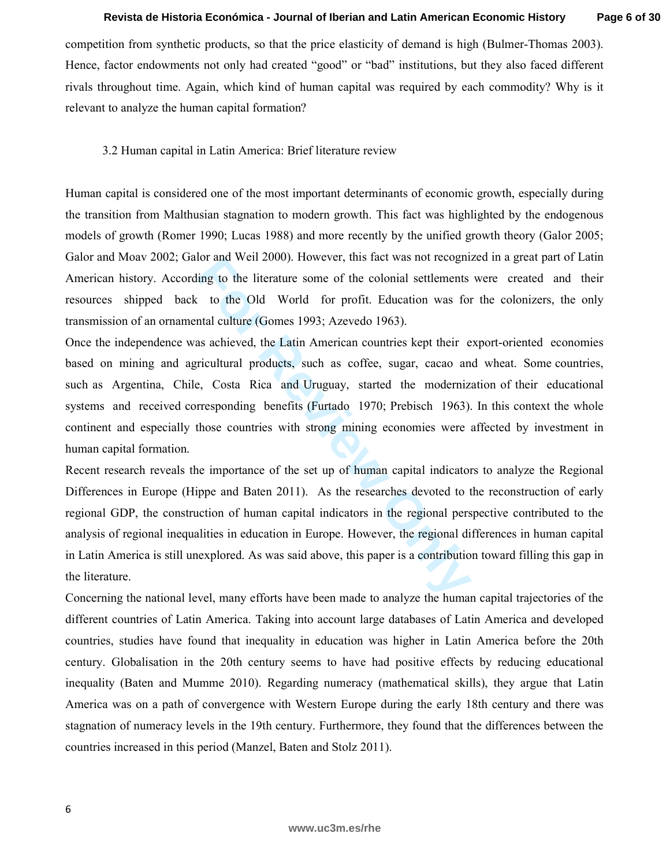competition from synthetic products, so that the price elasticity of demand is high (Bulmer-Thomas 2003). Hence, factor endowments not only had created "good" or "bad" institutions, but they also faced different rivals throughout time. Again, which kind of human capital was required by each commodity? Why is it relevant to analyze the human capital formation?

# 3.2 Human capital in Latin America: Brief literature review

Human capital is considered one of the most important determinants of economic growth, especially during the transition from Malthusian stagnation to modern growth. This fact was highlighted by the endogenous models of growth (Romer 1990; Lucas 1988) and more recently by the unified growth theory (Galor 2005; Galor and Moav 2002; Galor and Weil 2000). However, this fact was not recognized in a great part of Latin American history. According to the literature some of the colonial settlements were created and their resources shipped back to the Old World for profit. Education was for the colonizers, the only transmission of an ornamental culture (Gomes 1993; Azevedo 1963).

Once the independence was achieved, the Latin American countries kept their export-oriented economies based on mining and agricultural products, such as coffee, sugar, cacao and wheat. Some countries, such as Argentina, Chile, Costa Rica and Uruguay, started the modernization of their educational systems and received corresponding benefits (Furtado 1970; Prebisch 1963). In this context the whole continent and especially those countries with strong mining economies were affected by investment in human capital formation.

for and well 2000). However, this lact was not recogniting to the literature some of the colonial settlements to the Old World for profit. Education was for that culture (Gomes 1993; Azevedo 1963). Sa schieved, the Latin A Recent research reveals the importance of the set up of human capital indicators to analyze the Regional Differences in Europe (Hippe and Baten 2011). As the researches devoted to the reconstruction of early regional GDP, the construction of human capital indicators in the regional perspective contributed to the analysis of regional inequalities in education in Europe. However, the regional differences in human capital in Latin America is still unexplored. As was said above, this paper is a contribution toward filling this gap in the literature.

Concerning the national level, many efforts have been made to analyze the human capital trajectories of the different countries of Latin America. Taking into account large databases of Latin America and developed countries, studies have found that inequality in education was higher in Latin America before the 20th century. Globalisation in the 20th century seems to have had positive effects by reducing educational inequality (Baten and Mumme 2010). Regarding numeracy (mathematical skills), they argue that Latin America was on a path of convergence with Western Europe during the early 18th century and there was stagnation of numeracy levels in the 19th century. Furthermore, they found that the differences between the countries increased in this period (Manzel, Baten and Stolz 2011).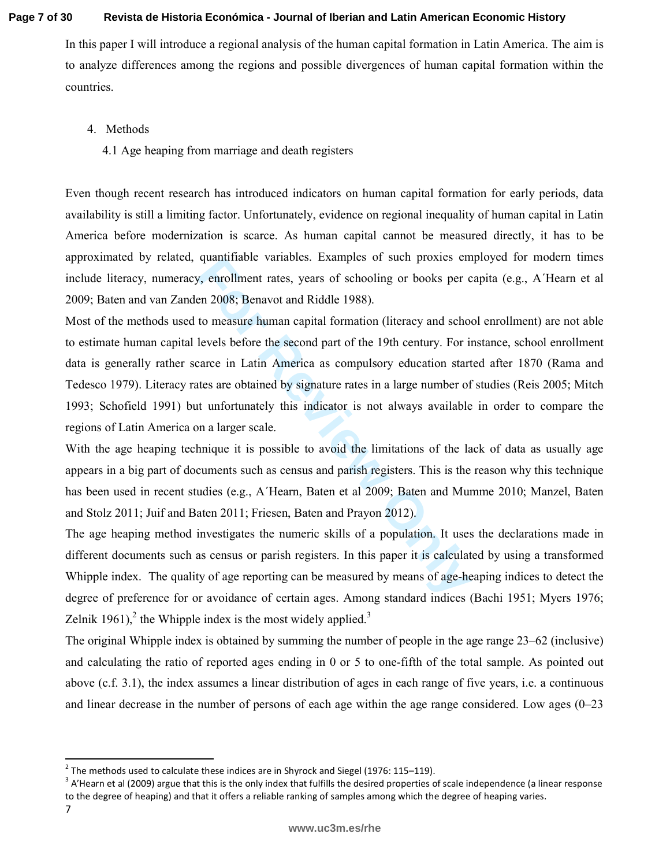#### **Page 7 of 30 Revista de Historia Económica - Journal of Iberian and Latin American Economic History**

In this paper I will introduce a regional analysis of the human capital formation in Latin America. The aim is to analyze differences among the regions and possible divergences of human capital formation within the countries.

- 4. Methods
	- 4.1 Age heaping from marriage and death registers

Even though recent research has introduced indicators on human capital formation for early periods, data availability is still a limiting factor. Unfortunately, evidence on regional inequality of human capital in Latin America before modernization is scarce. As human capital cannot be measured directly, it has to be approximated by related, quantifiable variables. Examples of such proxies employed for modern times include literacy, numeracy, enrollment rates, years of schooling or books per capita (e.g., A´Hearn et al 2009; Baten and van Zanden 2008; Benavot and Riddle 1988).

quantinable variables. Examples of such proxies en<br>*Formal Condot*, encollment rates, years of schooling or books per c<br>en 2008; Benavot and Riddle 1988).<br>to measure human capital formation (literacy and schoolevels before Most of the methods used to measure human capital formation (literacy and school enrollment) are not able to estimate human capital levels before the second part of the 19th century. For instance, school enrollment data is generally rather scarce in Latin America as compulsory education started after 1870 (Rama and Tedesco 1979). Literacy rates are obtained by signature rates in a large number of studies (Reis 2005; Mitch 1993; Schofield 1991) but unfortunately this indicator is not always available in order to compare the regions of Latin America on a larger scale.

With the age heaping technique it is possible to avoid the limitations of the lack of data as usually age appears in a big part of documents such as census and parish registers. This is the reason why this technique has been used in recent studies (e.g., A´Hearn, Baten et al 2009; Baten and Mumme 2010; Manzel, Baten and Stolz 2011; Juif and Baten 2011; Friesen, Baten and Prayon 2012).

The age heaping method investigates the numeric skills of a population. It uses the declarations made in different documents such as census or parish registers. In this paper it is calculated by using a transformed Whipple index. The quality of age reporting can be measured by means of age-heaping indices to detect the degree of preference for or avoidance of certain ages. Among standard indices (Bachi 1951; Myers 1976; Zelnik 1961), $^2$  the Whipple index is the most widely applied.<sup>3</sup>

The original Whipple index is obtained by summing the number of people in the age range 23–62 (inclusive) and calculating the ratio of reported ages ending in 0 or 5 to one-fifth of the total sample. As pointed out above (c.f. 3.1), the index assumes a linear distribution of ages in each range of five years, i.e. a continuous and linear decrease in the number of persons of each age within the age range considered. Low ages (0–23

7

l

 $^2$  The methods used to calculate these indices are in Shyrock and Siegel (1976: 115–119).

 $3$  A'Hearn et al (2009) argue that this is the only index that fulfills the desired properties of scale independence (a linear response to the degree of heaping) and that it offers a reliable ranking of samples among which the degree of heaping varies.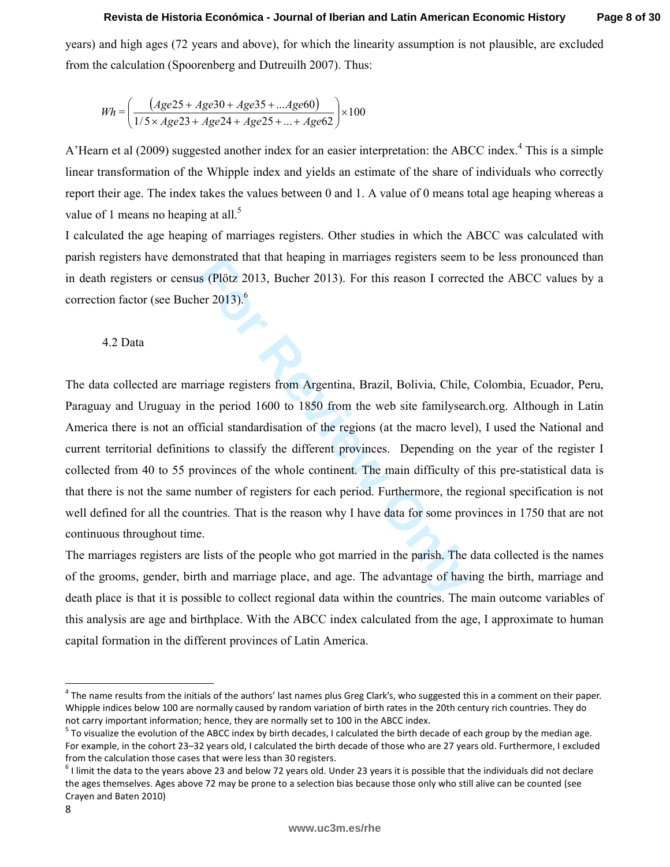years) and high ages (72 years and above), for which the linearity assumption is not plausible, are excluded from the calculation (Spoorenberg and Dutreuilh 2007). Thus:

$$
Wh = \left(\frac{(Age25 + Age30 + Age35 + ... Age60)}{1/5 \times Age23 + Age24 + Age25 + ... + Age62}\right) \times 100
$$

A'Hearn et al (2009) suggested another index for an easier interpretation: the ABCC index.<sup>4</sup> This is a simple linear transformation of the Whipple index and yields an estimate of the share of individuals who correctly report their age. The index takes the values between 0 and 1. A value of 0 means total age heaping whereas a value of 1 means no heaping at all.<sup>5</sup>

I calculated the age heaping of marriages registers. Other studies in which the ABCC was calculated with parish registers have demonstrated that that heaping in marriages registers seem to be less pronounced than in death registers or census (Plötz 2013, Bucher 2013). For this reason I corrected the ABCC values by a correction factor (see Bucher 2013). 6

### 4.2 Data

Instrated that that heaping in matriages registers seem to<br>**Formally** and the reapong in matriages registers seem to<br>**Formally** and the review of the period 1600 to 1850 from the web site familysear<br>Tricial standardisation The data collected are marriage registers from Argentina, Brazil, Bolivia, Chile, Colombia, Ecuador, Peru, Paraguay and Uruguay in the period 1600 to 1850 from the web site familysearch.org. Although in Latin America there is not an official standardisation of the regions (at the macro level), I used the National and current territorial definitions to classify the different provinces. Depending on the year of the register I collected from 40 to 55 provinces of the whole continent. The main difficulty of this pre-statistical data is that there is not the same number of registers for each period. Furthermore, the regional specification is not well defined for all the countries. That is the reason why I have data for some provinces in 1750 that are not continuous throughout time.  $Wh = \left(\frac{(Ag)}{1/5 \times A}\right)$ <br>A'Hearn et al (2009)<br>linear transformation<br>report their age. The<br>value of 1 means no<br>I calculated the age<br>parish registers have<br>in death registers have<br>in death registers of<br>correction factor (see<br>4.

The marriages registers are lists of the people who got married in the parish. The data collected is the names of the grooms, gender, birth and marriage place, and age. The advantage of having the birth, marriage and death place is that it is possible to collect regional data within the countries. The main outcome variables of this analysis are age and birthplace. With the ABCC index calculated from the age, I approximate to human capital formation in the different provinces of Latin America.

 $\overline{\phantom{a}}$ 

<sup>&</sup>lt;sup>4</sup> The name results from the initials of the authors' last names plus Greg Clark's, who suggested this in a comment on their paper. Whipple indices below 100 are normally caused by random variation of birth rates in the 20th century rich countries. They do not carry important information; hence, they are normally set to 100 in the ABCC index. <sup>5</sup>

 $5$  To visualize the evolution of the ABCC index by birth decades, I calculated the birth decade of each group by the median age. For example, in the cohort 23–32 years old, I calculated the birth decade of those who are 27 years old. Furthermore, I excluded from the calculation those cases that were less than 30 registers.

 $6$  I limit the data to the years above 23 and below 72 years old. Under 23 years it is possible that the individuals did not declare the ages themselves. Ages above 72 may be prone to a selection bias because those only who still alive can be counted (see Crayen and Baten 2010)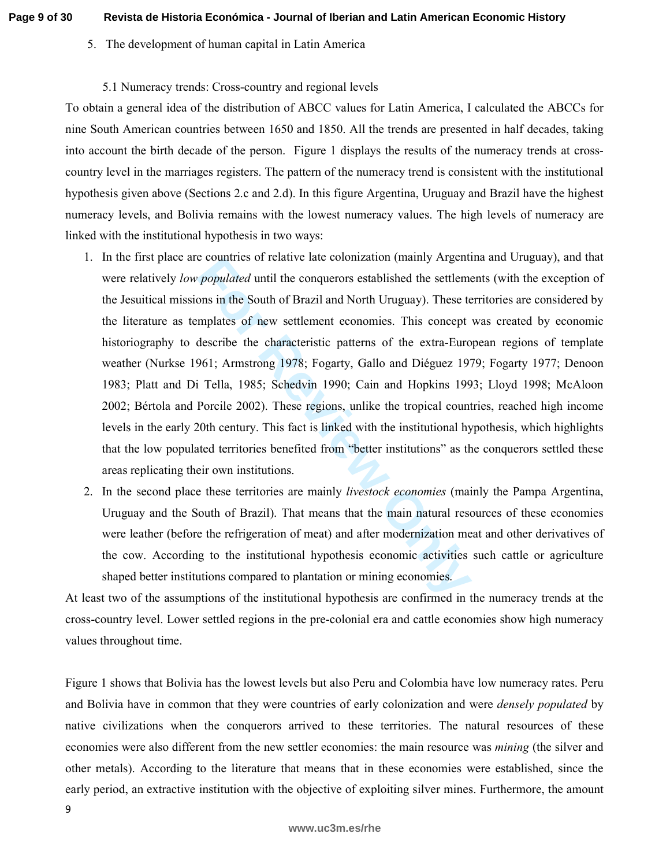# 5. The development of human capital in Latin America

# 5.1 Numeracy trends: Cross-country and regional levels

To obtain a general idea of the distribution of ABCC values for Latin America, I calculated the ABCCs for nine South American countries between 1650 and 1850. All the trends are presented in half decades, taking into account the birth decade of the person. Figure 1 displays the results of the numeracy trends at crosscountry level in the marriages registers. The pattern of the numeracy trend is consistent with the institutional hypothesis given above (Sections 2.c and 2.d). In this figure Argentina, Uruguay and Brazil have the highest numeracy levels, and Bolivia remains with the lowest numeracy values. The high levels of numeracy are linked with the institutional hypothesis in two ways:

- *Populated* until the conquerors established the settlement *populated* until the conquerors established the settlement ons in the South of Brazil and North Uruguay). These to mplates of new settlement economies. This conc 1. In the first place are countries of relative late colonization (mainly Argentina and Uruguay), and that were relatively *low populated* until the conquerors established the settlements (with the exception of the Jesuitical missions in the South of Brazil and North Uruguay). These territories are considered by the literature as templates of new settlement economies. This concept was created by economic historiography to describe the characteristic patterns of the extra-European regions of template weather (Nurkse 1961; Armstrong 1978; Fogarty, Gallo and Diéguez 1979; Fogarty 1977; Denoon 1983; Platt and Di Tella, 1985; Schedvin 1990; Cain and Hopkins 1993; Lloyd 1998; McAloon 2002; Bértola and Porcile 2002). These regions, unlike the tropical countries, reached high income levels in the early 20th century. This fact is linked with the institutional hypothesis, which highlights that the low populated territories benefited from "better institutions" as the conquerors settled these areas replicating their own institutions.
- 2. In the second place these territories are mainly *livestock economies* (mainly the Pampa Argentina, Uruguay and the South of Brazil). That means that the main natural resources of these economies were leather (before the refrigeration of meat) and after modernization meat and other derivatives of the cow. According to the institutional hypothesis economic activities such cattle or agriculture shaped better institutions compared to plantation or mining economies.

At least two of the assumptions of the institutional hypothesis are confirmed in the numeracy trends at the cross-country level. Lower settled regions in the pre-colonial era and cattle economies show high numeracy values throughout time.

Figure 1 shows that Bolivia has the lowest levels but also Peru and Colombia have low numeracy rates. Peru and Bolivia have in common that they were countries of early colonization and were *densely populated* by native civilizations when the conquerors arrived to these territories. The natural resources of these economies were also different from the new settler economies: the main resource was *mining* (the silver and other metals). According to the literature that means that in these economies were established, since the early period, an extractive institution with the objective of exploiting silver mines. Furthermore, the amount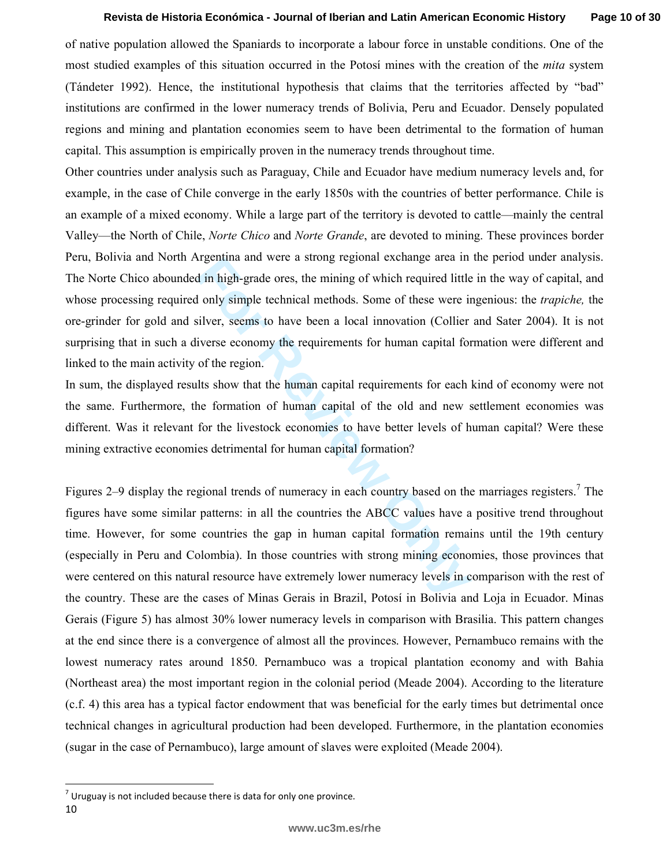of native population allowed the Spaniards to incorporate a labour force in unstable conditions. One of the most studied examples of this situation occurred in the Potosí mines with the creation of the *mita* system (Tándeter 1992). Hence, the institutional hypothesis that claims that the territories affected by "bad" institutions are confirmed in the lower numeracy trends of Bolivia, Peru and Ecuador. Densely populated regions and mining and plantation economies seem to have been detrimental to the formation of human capital. This assumption is empirically proven in the numeracy trends throughout time.

Other countries under analysis such as Paraguay, Chile and Ecuador have medium numeracy levels and, for example, in the case of Chile converge in the early 1850s with the countries of better performance. Chile is an example of a mixed economy. While a large part of the territory is devoted to cattle—mainly the central Valley—the North of Chile, *Norte Chico* and *Norte Grande*, are devoted to mining. These provinces border Peru, Bolivia and North Argentina and were a strong regional exchange area in the period under analysis. The Norte Chico abounded in high-grade ores, the mining of which required little in the way of capital, and whose processing required only simple technical methods. Some of these were ingenious: the *trapiche,* the ore-grinder for gold and silver, seems to have been a local innovation (Collier and Sater 2004). It is not surprising that in such a diverse economy the requirements for human capital formation were different and linked to the main activity of the region.

In sum, the displayed results show that the human capital requirements for each kind of economy were not the same. Furthermore, the formation of human capital of the old and new settlement economies was different. Was it relevant for the livestock economies to have better levels of human capital? Were these mining extractive economies detrimental for human capital formation?

Figure and were a strong regional exenange area in<br> **Formal** in high-grade ores, the mining of which required little<br> **Formally** simple technical methods. Some of these were in<br>
Formally simple technical methods. Some of t Figures 2–9 display the regional trends of numeracy in each country based on the marriages registers.<sup>7</sup> The figures have some similar patterns: in all the countries the ABCC values have a positive trend throughout time. However, for some countries the gap in human capital formation remains until the 19th century (especially in Peru and Colombia). In those countries with strong mining economies, those provinces that were centered on this natural resource have extremely lower numeracy levels in comparison with the rest of the country. These are the cases of Minas Gerais in Brazil, Potosí in Bolivia and Loja in Ecuador. Minas Gerais (Figure 5) has almost 30% lower numeracy levels in comparison with Brasilia. This pattern changes at the end since there is a convergence of almost all the provinces. However, Pernambuco remains with the lowest numeracy rates around 1850. Pernambuco was a tropical plantation economy and with Bahia (Northeast area) the most important region in the colonial period (Meade 2004). According to the literature (c.f. 4) this area has a typical factor endowment that was beneficial for the early times but detrimental once technical changes in agricultural production had been developed. Furthermore, in the plantation economies (sugar in the case of Pernambuco), large amount of slaves were exploited (Meade 2004).

l

 $<sup>7</sup>$  Uruguay is not included because there is data for only one province.</sup>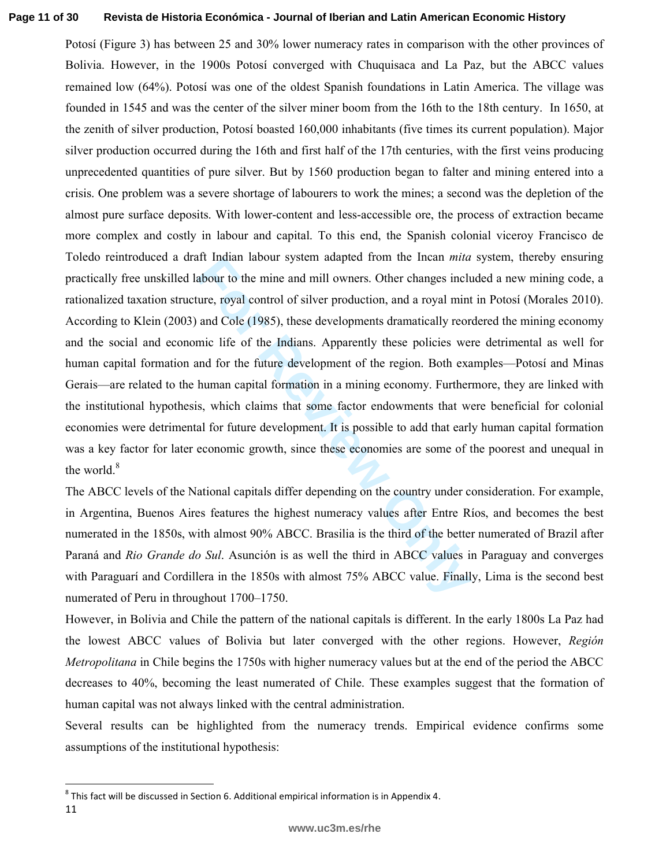#### **Page 11 of 30 Revista de Historia Económica - Journal of Iberian and Latin American Economic History**

It indian labour system adapted from the fincan *mita*<br>abour to the mine and mill owners. Other changes incluence, royal control of silver production, and a royal mint<br>and Cole (1985), these developments dramatically reor<br> Potosí (Figure 3) has between 25 and 30% lower numeracy rates in comparison with the other provinces of Bolivia. However, in the 1900s Potosí converged with Chuquisaca and La Paz, but the ABCC values remained low (64%). Potosí was one of the oldest Spanish foundations in Latin America. The village was founded in 1545 and was the center of the silver miner boom from the 16th to the 18th century. In 1650, at the zenith of silver production, Potosí boasted 160,000 inhabitants (five times its current population). Major silver production occurred during the 16th and first half of the 17th centuries, with the first veins producing unprecedented quantities of pure silver. But by 1560 production began to falter and mining entered into a crisis. One problem was a severe shortage of labourers to work the mines; a second was the depletion of the almost pure surface deposits. With lower-content and less-accessible ore, the process of extraction became more complex and costly in labour and capital. To this end, the Spanish colonial viceroy Francisco de Toledo reintroduced a draft Indian labour system adapted from the Incan *mita* system, thereby ensuring practically free unskilled labour to the mine and mill owners. Other changes included a new mining code, a rationalized taxation structure, royal control of silver production, and a royal mint in Potosí (Morales 2010). According to Klein (2003) and Cole (1985), these developments dramatically reordered the mining economy and the social and economic life of the Indians. Apparently these policies were detrimental as well for human capital formation and for the future development of the region. Both examples—Potosí and Minas Gerais—are related to the human capital formation in a mining economy. Furthermore, they are linked with the institutional hypothesis, which claims that some factor endowments that were beneficial for colonial economies were detrimental for future development. It is possible to add that early human capital formation was a key factor for later economic growth, since these economies are some of the poorest and unequal in the world.<sup>8</sup>

The ABCC levels of the National capitals differ depending on the country under consideration. For example, in Argentina, Buenos Aires features the highest numeracy values after Entre Ríos, and becomes the best numerated in the 1850s, with almost 90% ABCC. Brasilia is the third of the better numerated of Brazil after Paraná and *Rio Grande do Sul*. Asunción is as well the third in ABCC values in Paraguay and converges with Paraguarí and Cordillera in the 1850s with almost 75% ABCC value. Finally, Lima is the second best numerated of Peru in throughout 1700–1750.

However, in Bolivia and Chile the pattern of the national capitals is different. In the early 1800s La Paz had the lowest ABCC values of Bolivia but later converged with the other regions. However, *Región Metropolitana* in Chile begins the 1750s with higher numeracy values but at the end of the period the ABCC decreases to 40%, becoming the least numerated of Chile. These examples suggest that the formation of human capital was not always linked with the central administration.

Several results can be highlighted from the numeracy trends. Empirical evidence confirms some assumptions of the institutional hypothesis:

l

<sup>11</sup>   $^8$  This fact will be discussed in Section 6. Additional empirical information is in Appendix 4.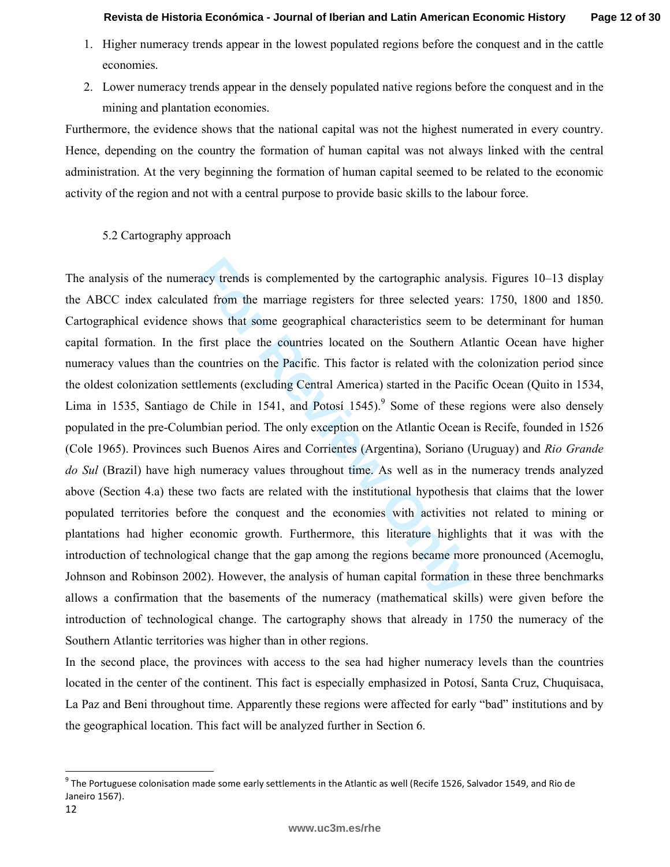- 1. Higher numeracy trends appear in the lowest populated regions before the conquest and in the cattle economies.
- 2. Lower numeracy trends appear in the densely populated native regions before the conquest and in the mining and plantation economies.

Furthermore, the evidence shows that the national capital was not the highest numerated in every country. Hence, depending on the country the formation of human capital was not always linked with the central administration. At the very beginning the formation of human capital seemed to be related to the economic activity of the region and not with a central purpose to provide basic skills to the labour force.

# 5.2 Cartography approach

acy trends is complemented by the cartographic analy<br>ed from the marriage registers for three selected yea<br>hows that some geographical characteristics seem to<br>first place the countries located on the Southern At<br>countries The analysis of the numeracy trends is complemented by the cartographic analysis. Figures 10–13 display the ABCC index calculated from the marriage registers for three selected years: 1750, 1800 and 1850. Cartographical evidence shows that some geographical characteristics seem to be determinant for human capital formation. In the first place the countries located on the Southern Atlantic Ocean have higher numeracy values than the countries on the Pacific. This factor is related with the colonization period since the oldest colonization settlements (excluding Central America) started in the Pacific Ocean (Quito in 1534, Lima in 1535, Santiago de Chile in 1541, and Potosí 1545).<sup>9</sup> Some of these regions were also densely populated in the pre-Columbian period. The only exception on the Atlantic Ocean is Recife, founded in 1526 (Cole 1965). Provinces such Buenos Aires and Corrientes (Argentina), Soriano (Uruguay) and *Rio Grande do Sul* (Brazil) have high numeracy values throughout time. As well as in the numeracy trends analyzed above (Section 4.a) these two facts are related with the institutional hypothesis that claims that the lower populated territories before the conquest and the economies with activities not related to mining or plantations had higher economic growth. Furthermore, this literature highlights that it was with the introduction of technological change that the gap among the regions became more pronounced (Acemoglu, Johnson and Robinson 2002). However, the analysis of human capital formation in these three benchmarks allows a confirmation that the basements of the numeracy (mathematical skills) were given before the introduction of technological change. The cartography shows that already in 1750 the numeracy of the Southern Atlantic territories was higher than in other regions.

In the second place, the provinces with access to the sea had higher numeracy levels than the countries located in the center of the continent. This fact is especially emphasized in Potosí, Santa Cruz, Chuquisaca, La Paz and Beni throughout time. Apparently these regions were affected for early "bad" institutions and by the geographical location. This fact will be analyzed further in Section 6.

 $\overline{\phantom{a}}$ 

 $^9$  The Portuguese colonisation made some early settlements in the Atlantic as well (Recife 1526, Salvador 1549, and Rio de Janeiro 1567).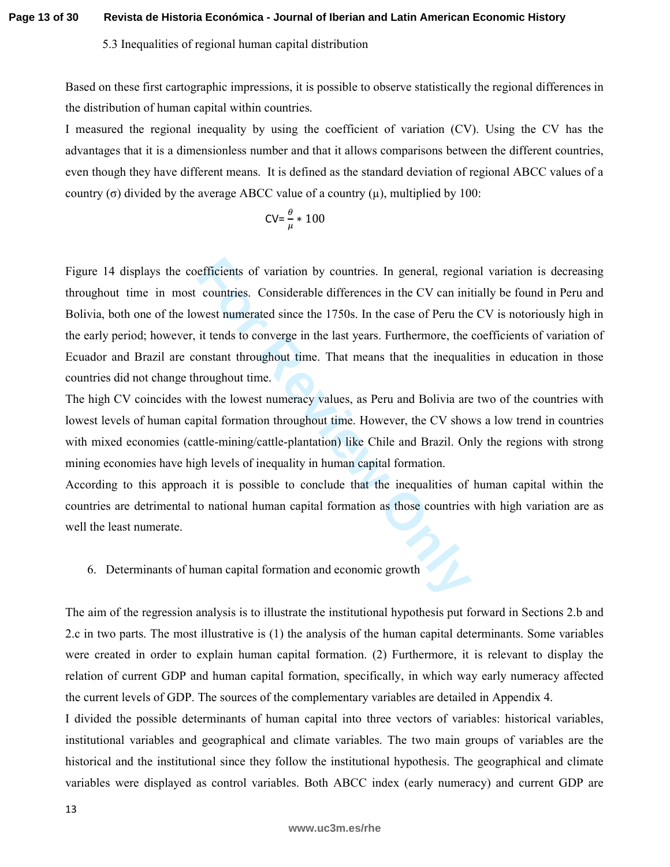**Page 13 of 30 Revista de Historia Económica - Journal of Iberian and Latin American Economic History**

### 5.3 Inequalities of regional human capital distribution

Based on these first cartographic impressions, it is possible to observe statistically the regional differences in the distribution of human capital within countries.

I measured the regional inequality by using the coefficient of variation (CV). Using the CV has the advantages that it is a dimensionless number and that it allows comparisons between the different countries, even though they have different means. It is defined as the standard deviation of regional ABCC values of a country (σ) divided by the average ABCC value of a country  $(μ)$ , multiplied by 100:

$$
CV = \frac{\theta}{\mu} * 100
$$

efficients of variation by countries. In general, region<br>countries. Considerable differences in the CV can ini<br>west numerated since the 1750s. In the case of Peru the<br>it tends to converge in the last years. Furthermore, th Figure 14 displays the coefficients of variation by countries. In general, regional variation is decreasing throughout time in most countries. Considerable differences in the CV can initially be found in Peru and Bolivia, both one of the lowest numerated since the 1750s. In the case of Peru the CV is notoriously high in the early period; however, it tends to converge in the last years. Furthermore, the coefficients of variation of Ecuador and Brazil are constant throughout time. That means that the inequalities in education in those countries did not change throughout time.

The high CV coincides with the lowest numeracy values, as Peru and Bolivia are two of the countries with lowest levels of human capital formation throughout time. However, the CV shows a low trend in countries with mixed economies (cattle-mining/cattle-plantation) like Chile and Brazil. Only the regions with strong mining economies have high levels of inequality in human capital formation.

According to this approach it is possible to conclude that the inequalities of human capital within the countries are detrimental to national human capital formation as those countries with high variation are as well the least numerate.

# 6. Determinants of human capital formation and economic growth

The aim of the regression analysis is to illustrate the institutional hypothesis put forward in Sections 2.b and 2.c in two parts. The most illustrative is (1) the analysis of the human capital determinants. Some variables were created in order to explain human capital formation. (2) Furthermore, it is relevant to display the relation of current GDP and human capital formation, specifically, in which way early numeracy affected the current levels of GDP. The sources of the complementary variables are detailed in Appendix 4.

I divided the possible determinants of human capital into three vectors of variables: historical variables, institutional variables and geographical and climate variables. The two main groups of variables are the historical and the institutional since they follow the institutional hypothesis. The geographical and climate variables were displayed as control variables. Both ABCC index (early numeracy) and current GDP are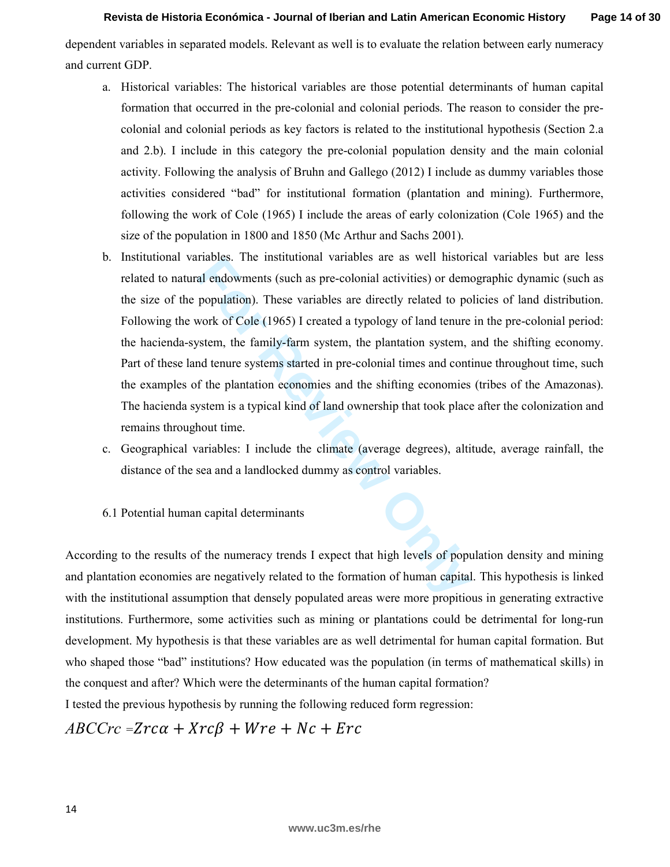dependent variables in separated models. Relevant as well is to evaluate the relation between early numeracy and current GDP.

- a. Historical variables: The historical variables are those potential determinants of human capital formation that occurred in the pre-colonial and colonial periods. The reason to consider the precolonial and colonial periods as key factors is related to the institutional hypothesis (Section 2.a and 2.b). I include in this category the pre-colonial population density and the main colonial activity. Following the analysis of Bruhn and Gallego (2012) I include as dummy variables those activities considered "bad" for institutional formation (plantation and mining). Furthermore, following the work of Cole (1965) I include the areas of early colonization (Cole 1965) and the size of the population in 1800 and 1850 (Mc Arthur and Sachs 2001).
- Trables. The institutional variables are as well instorted and endowments (such as pre-colonial activities) or demo<br>population). These variables are directly related to po<br>work of Cole (1965) I created a typology of land t b. Institutional variables. The institutional variables are as well historical variables but are less related to natural endowments (such as pre-colonial activities) or demographic dynamic (such as the size of the population). These variables are directly related to policies of land distribution. Following the work of Cole (1965) I created a typology of land tenure in the pre-colonial period: the hacienda-system, the family-farm system, the plantation system, and the shifting economy. Part of these land tenure systems started in pre-colonial times and continue throughout time, such the examples of the plantation economies and the shifting economies (tribes of the Amazonas). The hacienda system is a typical kind of land ownership that took place after the colonization and remains throughout time.
- c. Geographical variables: I include the climate (average degrees), altitude, average rainfall, the distance of the sea and a landlocked dummy as control variables.
- 6.1 Potential human capital determinants

According to the results of the numeracy trends I expect that high levels of population density and mining and plantation economies are negatively related to the formation of human capital. This hypothesis is linked with the institutional assumption that densely populated areas were more propitious in generating extractive institutions. Furthermore, some activities such as mining or plantations could be detrimental for long-run development. My hypothesis is that these variables are as well detrimental for human capital formation. But who shaped those "bad" institutions? How educated was the population (in terms of mathematical skills) in the conquest and after? Which were the determinants of the human capital formation?

I tested the previous hypothesis by running the following reduced form regression:

 $\mathit{ABCCrc} = \mathit{Zrca} + \mathit{Xrc\beta} + \mathit{Wre} + \mathit{Nc} + \mathit{Enc}$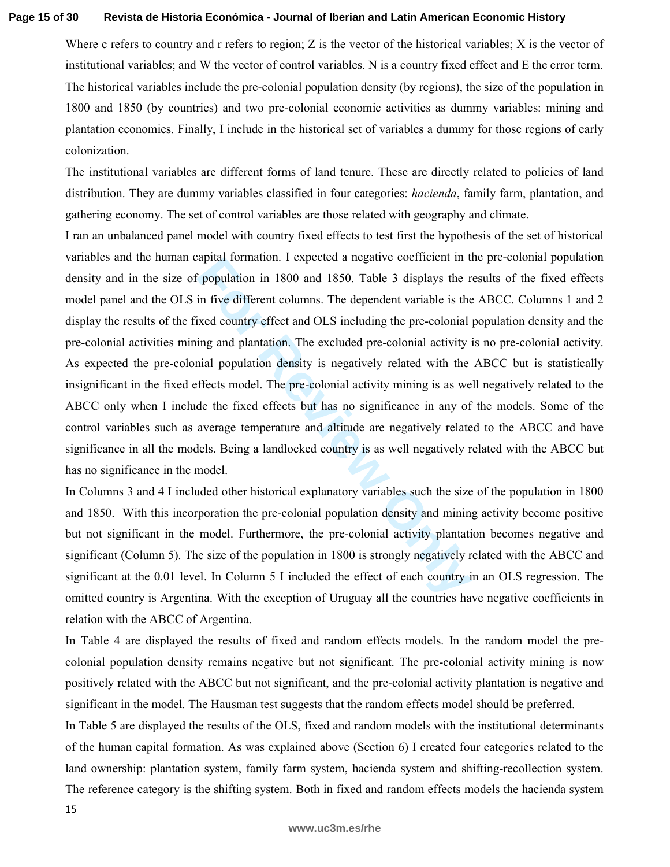#### **Page 15 of 30 Revista de Historia Económica - Journal of Iberian and Latin American Economic History**

Where c refers to country and r refers to region;  $Z$  is the vector of the historical variables;  $X$  is the vector of institutional variables; and W the vector of control variables. N is a country fixed effect and E the error term. The historical variables include the pre-colonial population density (by regions), the size of the population in 1800 and 1850 (by countries) and two pre-colonial economic activities as dummy variables: mining and plantation economies. Finally, I include in the historical set of variables a dummy for those regions of early colonization.

The institutional variables are different forms of land tenure. These are directly related to policies of land distribution. They are dummy variables classified in four categories: *hacienda*, family farm, plantation, and gathering economy. The set of control variables are those related with geography and climate.

raphar formation. I expected a negative coefficient in t<br>
in five different columns. The dependent variable is the<br>
in five different columns. The dependent variable is the<br>
in five different columns. The dependent variabl I ran an unbalanced panel model with country fixed effects to test first the hypothesis of the set of historical variables and the human capital formation. I expected a negative coefficient in the pre-colonial population density and in the size of population in 1800 and 1850. Table 3 displays the results of the fixed effects model panel and the OLS in five different columns. The dependent variable is the ABCC. Columns 1 and 2 display the results of the fixed country effect and OLS including the pre-colonial population density and the pre-colonial activities mining and plantation. The excluded pre-colonial activity is no pre-colonial activity. As expected the pre-colonial population density is negatively related with the ABCC but is statistically insignificant in the fixed effects model. The pre-colonial activity mining is as well negatively related to the ABCC only when I include the fixed effects but has no significance in any of the models. Some of the control variables such as average temperature and altitude are negatively related to the ABCC and have significance in all the models. Being a landlocked country is as well negatively related with the ABCC but has no significance in the model.

In Columns 3 and 4 I included other historical explanatory variables such the size of the population in 1800 and 1850. With this incorporation the pre-colonial population density and mining activity become positive but not significant in the model. Furthermore, the pre-colonial activity plantation becomes negative and significant (Column 5). The size of the population in 1800 is strongly negatively related with the ABCC and significant at the 0.01 level. In Column 5 I included the effect of each country in an OLS regression. The omitted country is Argentina. With the exception of Uruguay all the countries have negative coefficients in relation with the ABCC of Argentina.

In Table 4 are displayed the results of fixed and random effects models. In the random model the precolonial population density remains negative but not significant. The pre-colonial activity mining is now positively related with the ABCC but not significant, and the pre-colonial activity plantation is negative and significant in the model. The Hausman test suggests that the random effects model should be preferred.

In Table 5 are displayed the results of the OLS, fixed and random models with the institutional determinants of the human capital formation. As was explained above (Section 6) I created four categories related to the land ownership: plantation system, family farm system, hacienda system and shifting-recollection system. The reference category is the shifting system. Both in fixed and random effects models the hacienda system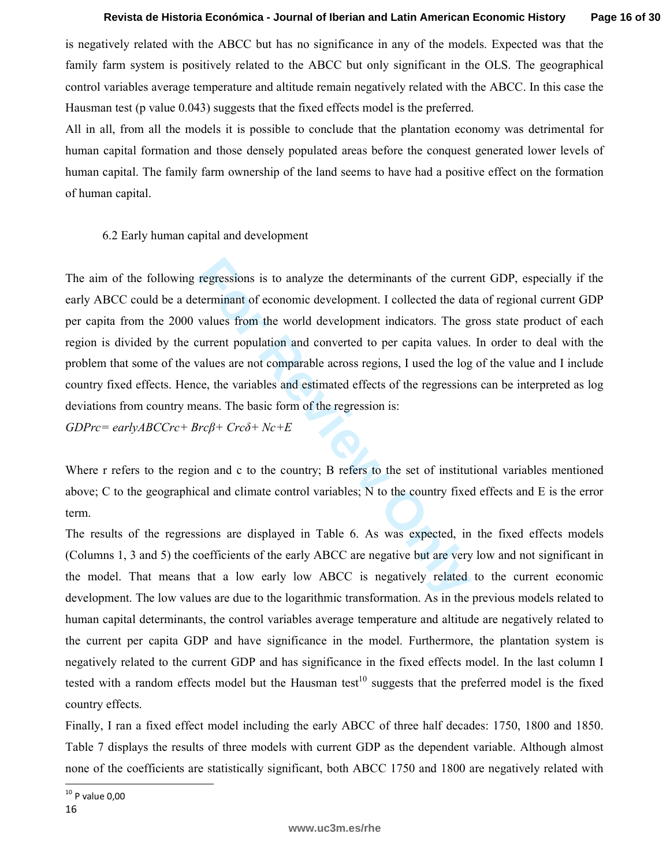is negatively related with the ABCC but has no significance in any of the models. Expected was that the family farm system is positively related to the ABCC but only significant in the OLS. The geographical control variables average temperature and altitude remain negatively related with the ABCC. In this case the Hausman test (p value 0.043) suggests that the fixed effects model is the preferred.

All in all, from all the models it is possible to conclude that the plantation economy was detrimental for human capital formation and those densely populated areas before the conquest generated lower levels of human capital. The family farm ownership of the land seems to have had a positive effect on the formation of human capital.

# 6.2 Early human capital and development

regressions is to analyze the determinants of the curre<br>terminant of economic development. I collected the dat<br>values from the world development indicators. The g<br>urrent population and converted to per capita values.<br>zalu The aim of the following regressions is to analyze the determinants of the current GDP, especially if the early ABCC could be a determinant of economic development. I collected the data of regional current GDP per capita from the 2000 values from the world development indicators. The gross state product of each region is divided by the current population and converted to per capita values. In order to deal with the problem that some of the values are not comparable across regions, I used the log of the value and I include country fixed effects. Hence, the variables and estimated effects of the regressions can be interpreted as log deviations from country means. The basic form of the regression is:

*GDPrc= earlyABCCrc+ Brcβ+ Crcδ+ Nc+E* 

Where r refers to the region and c to the country; B refers to the set of institutional variables mentioned above; C to the geographical and climate control variables; N to the country fixed effects and E is the error term.

The results of the regressions are displayed in Table 6. As was expected, in the fixed effects models (Columns 1, 3 and 5) the coefficients of the early ABCC are negative but are very low and not significant in the model. That means that a low early low ABCC is negatively related to the current economic development. The low values are due to the logarithmic transformation. As in the previous models related to human capital determinants, the control variables average temperature and altitude are negatively related to the current per capita GDP and have significance in the model. Furthermore, the plantation system is negatively related to the current GDP and has significance in the fixed effects model. In the last column I tested with a random effects model but the Hausman test<sup>10</sup> suggests that the preferred model is the fixed country effects.

Finally, I ran a fixed effect model including the early ABCC of three half decades: 1750, 1800 and 1850. Table 7 displays the results of three models with current GDP as the dependent variable. Although almost none of the coefficients are statistically significant, both ABCC 1750 and 1800 are negatively related with

l  $10$  P value 0,00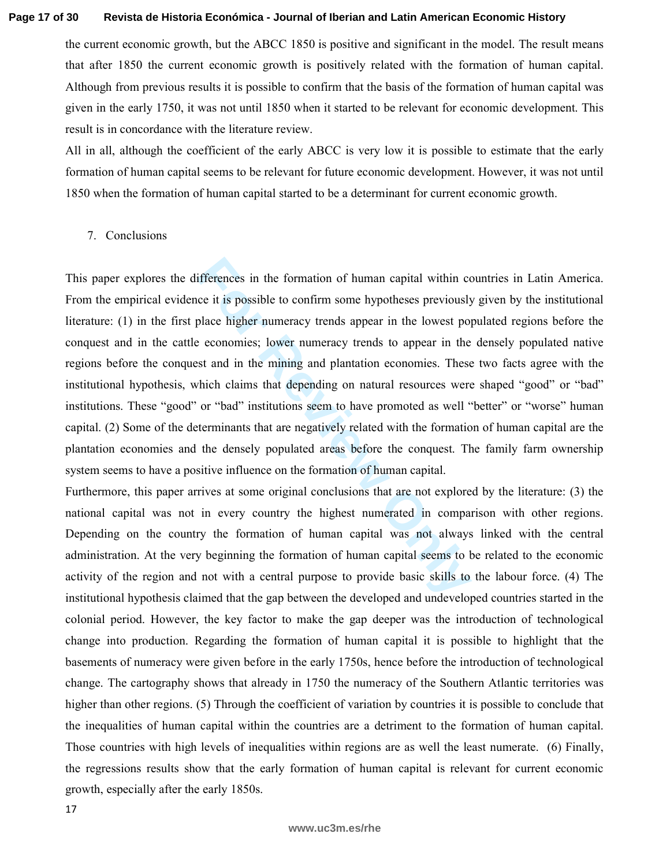#### **Page 17 of 30 Revista de Historia Económica - Journal of Iberian and Latin American Economic History**

the current economic growth, but the ABCC 1850 is positive and significant in the model. The result means that after 1850 the current economic growth is positively related with the formation of human capital. Although from previous results it is possible to confirm that the basis of the formation of human capital was given in the early 1750, it was not until 1850 when it started to be relevant for economic development. This result is in concordance with the literature review.

All in all, although the coefficient of the early ABCC is very low it is possible to estimate that the early formation of human capital seems to be relevant for future economic development. However, it was not until 1850 when the formation of human capital started to be a determinant for current economic growth.

# 7. Conclusions

ifferences in the formation of human capital within co<br>ce it is possible to confirm some hypotheses previously<br>place higher numeracy trends appear in the lowest po<br>e economies; lower numeracy trends to appear in the<br>st and This paper explores the differences in the formation of human capital within countries in Latin America. From the empirical evidence it is possible to confirm some hypotheses previously given by the institutional literature: (1) in the first place higher numeracy trends appear in the lowest populated regions before the conquest and in the cattle economies; lower numeracy trends to appear in the densely populated native regions before the conquest and in the mining and plantation economies. These two facts agree with the institutional hypothesis, which claims that depending on natural resources were shaped "good" or "bad" institutions. These "good" or "bad" institutions seem to have promoted as well "better" or "worse" human capital. (2) Some of the determinants that are negatively related with the formation of human capital are the plantation economies and the densely populated areas before the conquest. The family farm ownership system seems to have a positive influence on the formation of human capital.

Furthermore, this paper arrives at some original conclusions that are not explored by the literature: (3) the national capital was not in every country the highest numerated in comparison with other regions. Depending on the country the formation of human capital was not always linked with the central administration. At the very beginning the formation of human capital seems to be related to the economic activity of the region and not with a central purpose to provide basic skills to the labour force. (4) The institutional hypothesis claimed that the gap between the developed and undeveloped countries started in the colonial period. However, the key factor to make the gap deeper was the introduction of technological change into production. Regarding the formation of human capital it is possible to highlight that the basements of numeracy were given before in the early 1750s, hence before the introduction of technological change. The cartography shows that already in 1750 the numeracy of the Southern Atlantic territories was higher than other regions. (5) Through the coefficient of variation by countries it is possible to conclude that the inequalities of human capital within the countries are a detriment to the formation of human capital. Those countries with high levels of inequalities within regions are as well the least numerate. (6) Finally, the regressions results show that the early formation of human capital is relevant for current economic growth, especially after the early 1850s.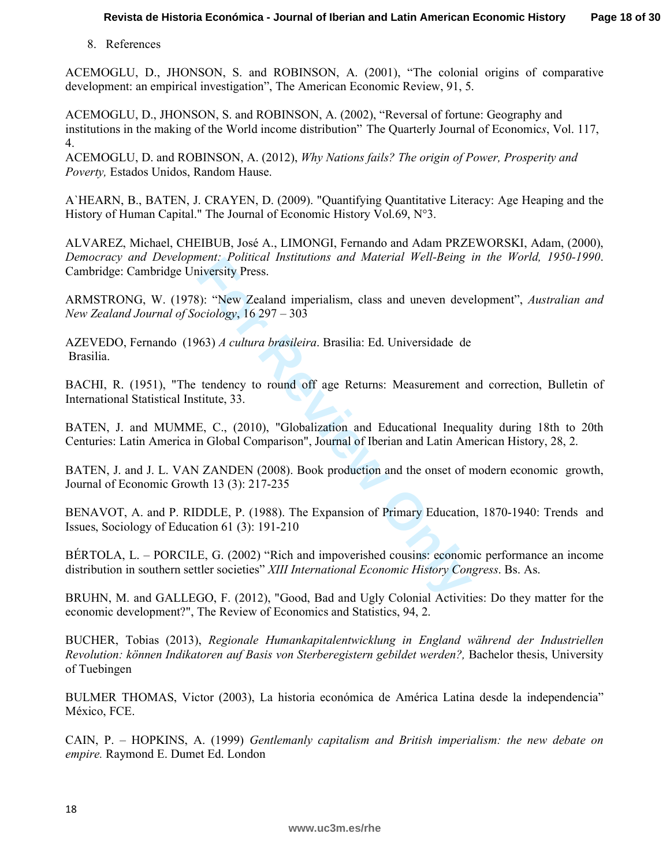8. References

ACEMOGLU, D., JHONSON, S. and ROBINSON, A. (2001), "The colonial origins of comparative development: an empirical investigation", The American Economic Review, 91, 5.

ACEMOGLU, D., JHONSON, S. and ROBINSON, A. (2002), "Reversal of fortune: Geography and institutions in the making of the World income distribution" The Quarterly Journal of Economic *s*, Vol. 117, 4.

ACEMOGLU, D. and ROBINSON, A. (2012), *Why Nations fails? The origin of Power, Prosperity and Poverty,* Estados Unidos, Random Hause.

A`HEARN, B., BATEN, J. CRAYEN, D. (2009). "Quantifying Quantitative Literacy: Age Heaping and the History of Human Capital." The Journal of Economic History Vol.69, N°3.

ALVAREZ, Michael, CHEIBUB, José A., LIMONGI, Fernando and Adam PRZEWORSKI, Adam, (2000), *Democracy and Development: Political Institutions and Material Well-Being in the World, 1950-1990*. Cambridge: Cambridge University Press.

ARMSTRONG, W. (1978): "New Zealand imperialism, class and uneven development", *Australian and New Zealand Journal of Sociology*, 16 297 – 303

AZEVEDO, Fernando (1963) *A cultura brasileira*. Brasilia: Ed. Universidade de Brasilia.

BACHI, R. (1951), "The tendency to round off age Returns: Measurement and correction, Bulletin of International Statistical Institute, 33.

ment: Foutcal Institutions and Material Well-being<br>iversity Press.<br>
For The Zealand imperialism, class and uneven devertionly<br> **For Allen Contains and Sealt Concerns**<br> **For Review Only Allen Constrainers**<br> **For Conventiona** BATEN, J. and MUMME, C., (2010), "Globalization and Educational Inequality during 18th to 20th Centuries: Latin America in Global Comparison", Journal of Iberian and Latin American History, 28, 2.

BATEN, J. and J. L. VAN ZANDEN (2008). Book production and the onset of modern economic growth, Journal of Economic Growth 13 (3): 217-235

BENAVOT, A. and P. RIDDLE, P. (1988). The Expansion of Primary Education, 1870-1940: Trends and Issues, Sociology of Education 61 (3): 191-210

BÉRTOLA, L. – PORCILE, G. (2002) "Rich and impoverished cousins: economic performance an income distribution in southern settler societies" *XIII International Economic History Congress*. Bs. As.

BRUHN, M. and GALLEGO, F. (2012), "Good, Bad and Ugly Colonial Activities: Do they matter for the economic development?", The Review of Economics and Statistics, 94, 2.

BUCHER, Tobias (2013), *Regionale Humankapitalentwicklung in England während der Industriellen Revolution: können Indikatoren auf Basis von Sterberegistern gebildet werden?,* Bachelor thesis, University of Tuebingen

BULMER THOMAS, Victor (2003), La historia económica de América Latina desde la independencia" México, FCE.

CAIN, P. – HOPKINS, A. (1999) *Gentlemanly capitalism and British imperialism: the new debate on empire.* Raymond E. Dumet Ed. London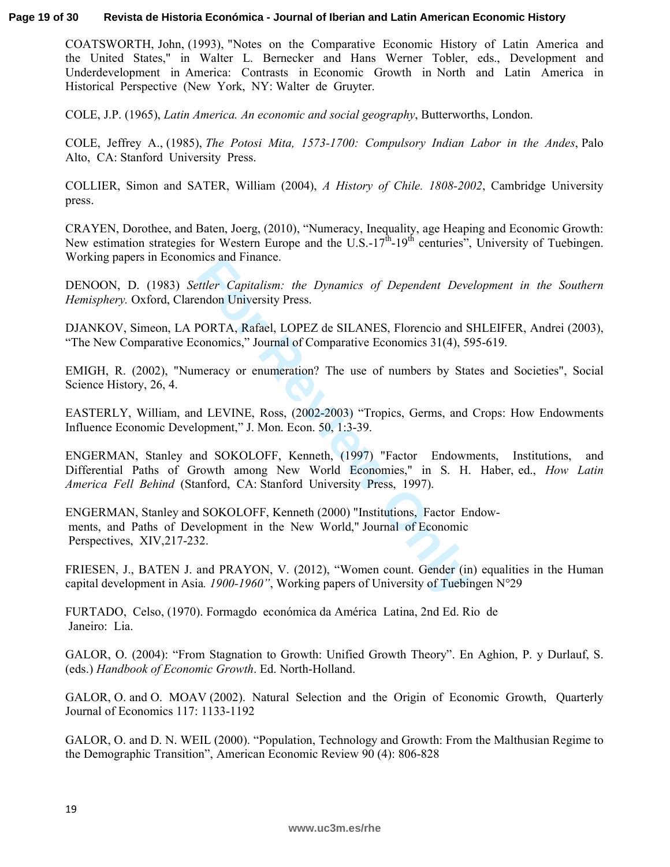#### **Page 19 of 30 Revista de Historia Económica - Journal of Iberian and Latin American Economic History**

COATSWORTH, John, (1993), "Notes on the Comparative Economic History of Latin America and the United States," in Walter L. Bernecker and Hans Werner Tobler, eds., Development and Underdevelopment in America: Contrasts in Economic Growth in North and Latin America in Historical Perspective (New York, NY: Walter de Gruyter.

COLE, J.P. (1965), *Latin America. An economic and social geography*, Butterworths, London.

COLE, Jeffrey A., (1985), *The Potosi Mita, 1573-1700: Compulsory Indian Labor in the Andes*, Palo Alto, CA: Stanford University Press.

COLLIER, Simon and SATER, William (2004), *A History of Chile. 1808-2002*, Cambridge University press.

CRAYEN, Dorothee, and Baten, Joerg, (2010), "Numeracy, Inequality, age Heaping and Economic Growth: New estimation strategies for Western Europe and the U.S.-17<sup>th</sup>-19<sup>th</sup> centuries", University of Tuebingen. Working papers in Economics and Finance.

DENOON, D. (1983) *Settler Capitalism: the Dynamics of Dependent Development in the Southern Hemisphery.* Oxford, Clarendon University Press.

DJANKOV, Simeon, LA PORTA, Rafael, LOPEZ de SILANES, Florencio and SHLEIFER, Andrei (2003), "The New Comparative Economics," Journal of Comparative Economics 31(4), 595-619.

EMIGH, R. (2002), "Numeracy or enumeration? The use of numbers by States and Societies", Social Science History, 26, 4.

EASTERLY, William, and LEVINE, Ross, (2002-2003) "Tropics, Germs, and Crops: How Endowments Influence Economic Development," J. Mon. Econ. 50, 1:3-39.

rics and Finance.<br> *Ettler Capitalism: the Dynamics of Dependent Deve*<br> **Formation University Press.**<br> **FORTA, Rafael, LOPEZ de SILANES, Florencio and Sonomics," Journal of Comparative Economics 31(4), 59<br>
meracy or enumer** ENGERMAN, Stanley and SOKOLOFF, Kenneth, (1997) "Factor Endowments, Institutions, and Differential Paths of Growth among New World Economies," in S. H. Haber, ed., *How Latin America Fell Behind* (Stanford, CA: Stanford University Press, 1997).

ENGERMAN, Stanley and SOKOLOFF, Kenneth (2000) "Institutions, Factor Endow ments, and Paths of Development in the New World," Journal of Economic Perspectives, XIV,217-232.

FRIESEN, J., BATEN J. and PRAYON, V. (2012), "Women count. Gender (in) equalities in the Human capital development in Asia*. 1900-1960"*, Working papers of University of Tuebingen N°29

FURTADO, Celso, (1970). Formagdo económica da América Latina, 2nd Ed. Rio de Janeiro: Lia.

GALOR, O. (2004): "From Stagnation to Growth: Unified Growth Theory". En Aghion, P. y Durlauf, S. (eds.) *Handbook of Economic Growth*. Ed. North-Holland.

GALOR, O. and O. MOAV (2002). Natural Selection and the Origin of Economic Growth, Quarterly Journal of Economics 117: 1133-1192

GALOR, O. and D. N. WEIL (2000). "Population, Technology and Growth: From the Malthusian Regime to the Demographic Transition", American Economic Review 90 (4): 806-828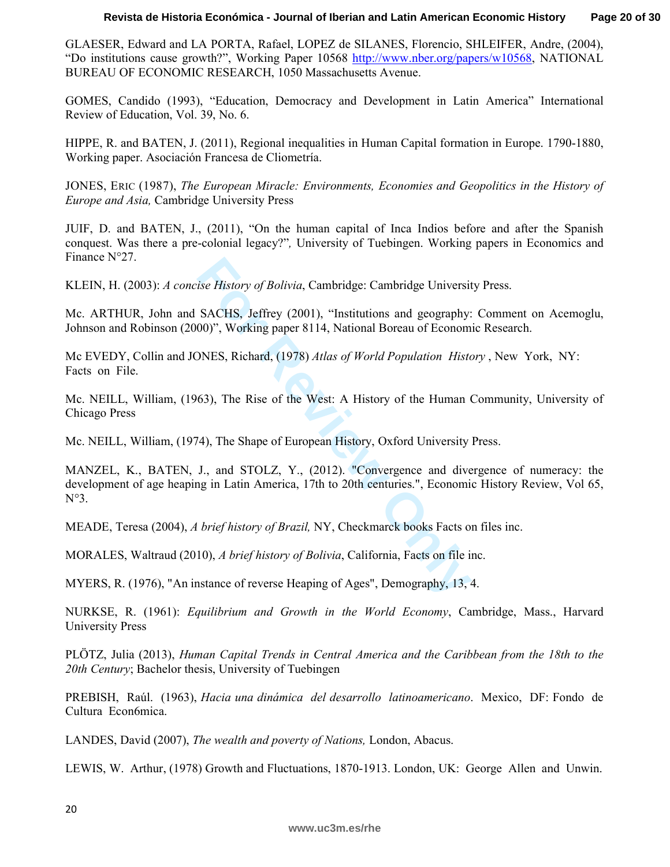GLAESER, Edward and LA PORTA, Rafael, LOPEZ de SILANES, Florencio, SHLEIFER, Andre, (2004), "Do institutions cause growth?", Working Paper 10568 http://www.nber.org/papers/w10568, NATIONAL BUREAU OF ECONOMIC RESEARCH, 1050 Massachusetts Avenue.

GOMES, Candido (1993), "Education, Democracy and Development in Latin America" International Review of Education, Vol. 39, No. 6.

HIPPE, R. and BATEN, J. (2011), Regional inequalities in Human Capital formation in Europe. 1790-1880, Working paper. Asociación Francesa de Cliometría.

JONES, ERIC (1987), *The European Miracle: Environments, Economies and Geopolitics in the History of Europe and Asia,* Cambridge University Press

JUIF, D. and BATEN, J., (2011), "On the human capital of Inca Indios before and after the Spanish conquest. Was there a pre-colonial legacy?"*,* University of Tuebingen. Working papers in Economics and Finance N°27.

KLEIN, H. (2003): *A concise History of Bolivia*, Cambridge: Cambridge University Press.

Mc. ARTHUR, John and SACHS, Jeffrey (2001), "Institutions and geography: Comment on Acemoglu, Johnson and Robinson (2000)", Working paper 8114, National Boreau of Economic Research.

Mc EVEDY, Collin and JONES, Richard, (1978) *Atlas of World Population History* , New York, NY: Facts on File.

Mc. NEILL, William, (1963), The Rise of the West: A History of the Human Community, University of Chicago Press

Mc. NEILL, William, (1974), The Shape of European History, Oxford University Press.

ise History of Bolivia, Cambridge: Cambridge Universit<br>
SACHS, Jeffrey (2001), "Institutions and geography:<br>
00)", Working paper 8114, National Boreau of Econom<br>
DNES, Richard, (1978) Atlas of World Population Histor<br>
63), MANZEL, K., BATEN, J., and STOLZ, Y., (2012). "Convergence and divergence of numeracy: the development of age heaping in Latin America, 17th to 20th centuries.", Economic History Review, Vol 65, N°3.

MEADE, Teresa (2004), *A brief history of Brazil,* NY, Checkmarck books Facts on files inc.

MORALES, Waltraud (2010), *A brief history of Bolivia*, California, Facts on file inc.

MYERS, R. (1976), "An instance of reverse Heaping of Ages", Demography, 13, 4.

NURKSE, R. (1961): *Equilibrium and Growth in the World Economy*, Cambridge, Mass., Harvard University Press

PLÖTZ, Julia (2013), *Human Capital Trends in Central America and the Caribbean from the 18th to the 20th Century*; Bachelor thesis, University of Tuebingen

PREBISH, Raúl. (1963), *Hacia una dinámica del desarrollo latinoamericano*. Mexico, DF: Fondo de Cultura Econ6mica.

LANDES, David (2007), *The wealth and poverty of Nations,* London, Abacus.

LEWIS, W. Arthur, (1978) Growth and Fluctuations, 1870-1913. London, UK: George Allen and Unwin.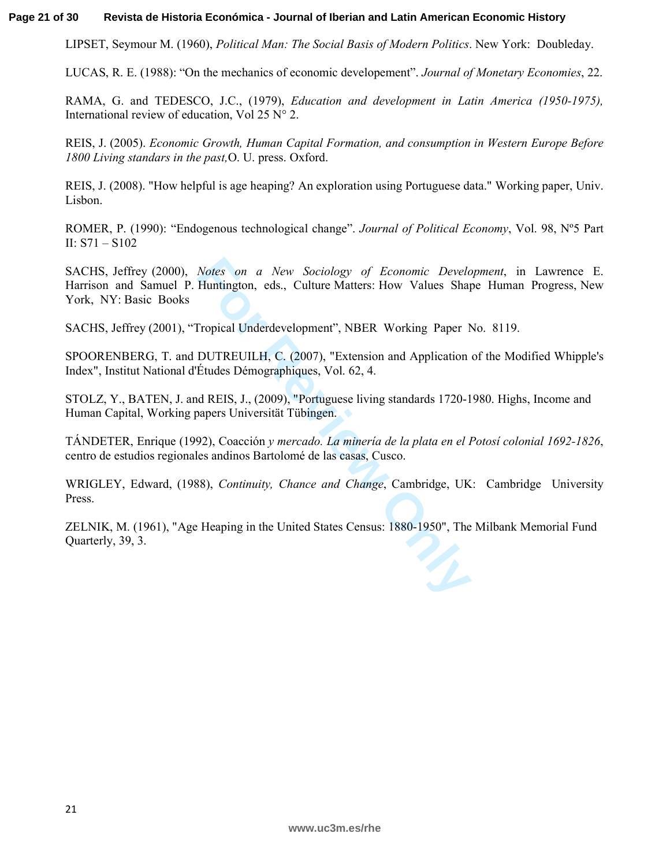#### **Page 21 of 30 Revista de Historia Económica - Journal of Iberian and Latin American Economic History**

LIPSET, Seymour M. (1960), *Political Man: The Social Basis of Modern Politics*. New York: Doubleday.

LUCAS, R. E. (1988): "On the mechanics of economic developement". *Journal of Monetary Economies*, 22.

RAMA, G. and TEDESCO, J.C., (1979), *Education and development in Latin America (1950-1975),*  International review of education, Vol 25  $N^{\circ}$  2.

REIS, J. (2005). *Economic Growth, Human Capital Formation, and consumption in Western Europe Before 1800 Living standars in the past,*O. U. press. Oxford.

REIS, J. (2008). "How helpful is age heaping? An exploration using Portuguese data." Working paper, Univ. Lisbon.

ROMER, P. (1990): "Endogenous technological change". *Journal of Political Economy*, Vol. 98, Nº5 Part II: S71 – S102

Notes on a New Sociology of Economic Develoment<br>Huntington, eds., Culture Matters: How Values Shap<br>Tropical Underdevelopment", NBER Working Paper N<br>DUTREUILH, C. (2007), "Extension and Application<br>Études Démographiques, Vo SACHS, Jeffrey (2000), *Notes on a New Sociology of Economic Development*, in Lawrence E. Harrison and Samuel P. Huntington, eds., Culture Matters: How Values Shape Human Progress, New York, NY: Basic Books

SACHS, Jeffrey (2001), "Tropical Underdevelopment", NBER Working Paper No. 8119.

SPOORENBERG, T. and DUTREUILH, C. (2007), "Extension and Application of the Modified Whipple's Index", Institut National d'Études Démographiques, Vol. 62, 4.

STOLZ, Y., BATEN, J. and REIS, J., (2009), "Portuguese living standards 1720-1980. Highs, Income and Human Capital, Working papers Universität Tübingen.

TÁNDETER, Enrique (1992), Coacción *y mercado. La minería de la plata en el Potosí colonial 1692-1826*, centro de estudios regionales andinos Bartolomé de las casas, Cusco.

WRIGLEY, Edward, (1988), *Continuity, Chance and Change*, Cambridge, UK: Cambridge University Press.

ZELNIK, M. (1961), "Age Heaping in the United States Census: 1880-1950", The Milbank Memorial Fund Quarterly, 39, 3.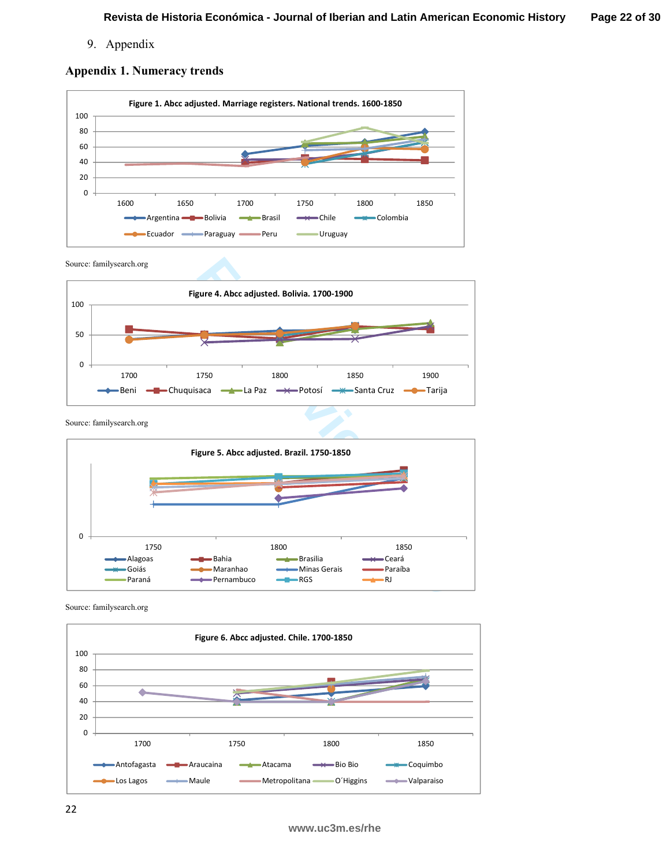9. Appendix

# **Appendix 1. Numeracy trends**



Source: familysearch.org



Source: familysearch.org



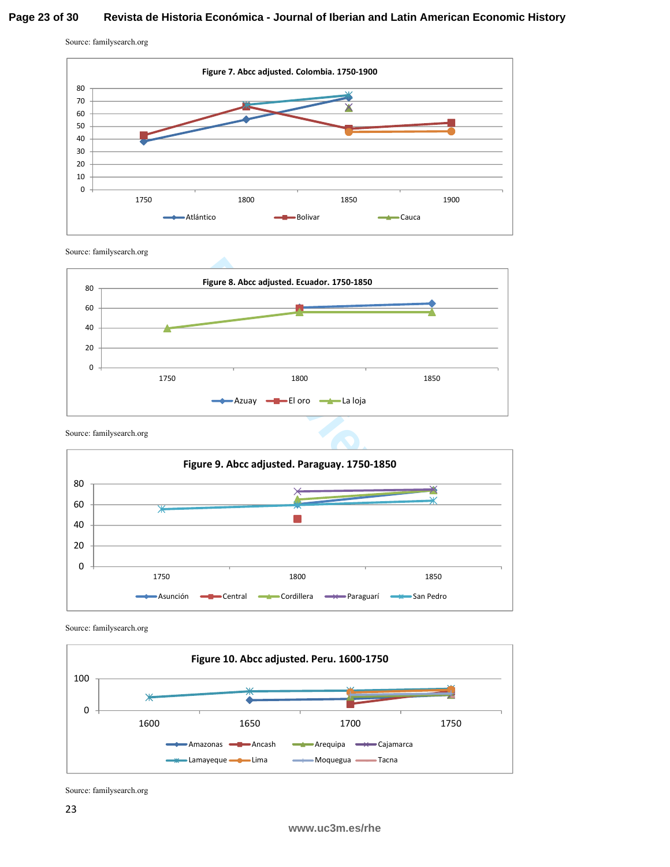### **Page 23 of 30 Revista de Historia Económica - Journal of Iberian and Latin American Economic History**

Source: familysearch.org



Source: familysearch.org







Source: familysearch.org



Source: familysearch.org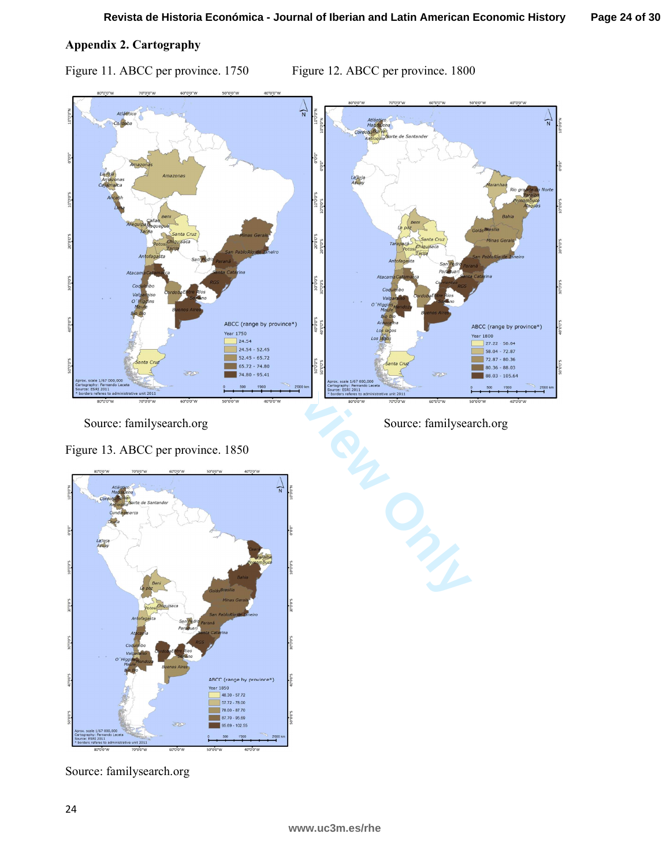Figure 11. ABCC per province. 1750 Figure 12. ABCC per province. 1800



Source: familysearch.org Source: familysearch.org Source: familysearch.org

Figure 13. ABCC per province. 1850



Source: familysearch.org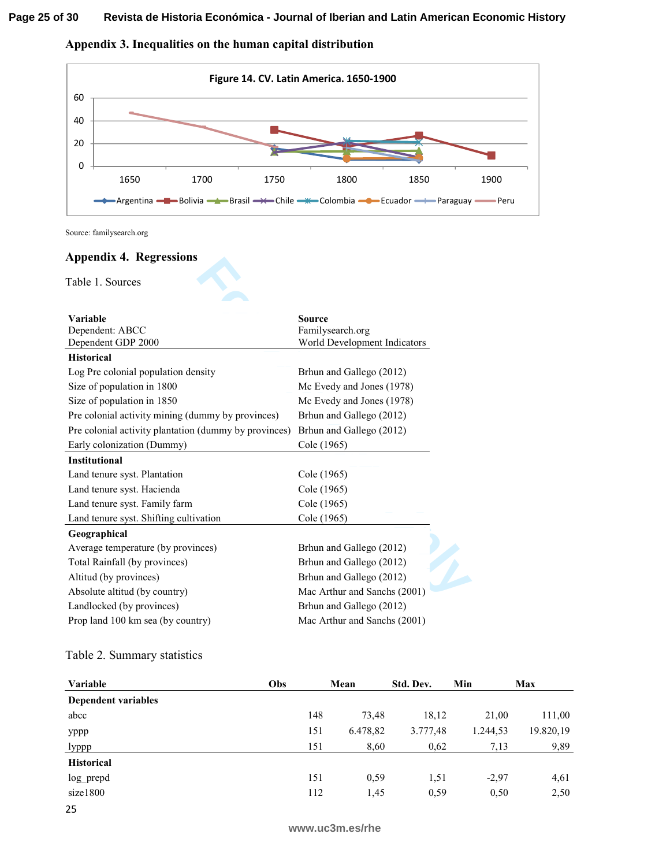### **Page 25 of 30 Revista de Historia Económica - Journal of Iberian and Latin American Economic History**

**Appendix 3. Inequalities on the human capital distribution** 



### **Appendix 4. Regressions**

| 0                 |                                        |                                                                                                                                  |      |                  |                              |           |          |           |
|-------------------|----------------------------------------|----------------------------------------------------------------------------------------------------------------------------------|------|------------------|------------------------------|-----------|----------|-----------|
|                   | 1650                                   | 1700                                                                                                                             | 1750 |                  | 1800                         | 1850      | 1900     |           |
|                   |                                        | -Argentina <del>- ■ B</del> olivia <del>- ▲ B</del> rasil - $\times$ - Chile - $\times$ Colombia - • Ecuador - - Paraguay - Peru |      |                  |                              |           |          |           |
|                   | Source: familysearch.org               |                                                                                                                                  |      |                  |                              |           |          |           |
|                   | <b>Appendix 4. Regressions</b>         |                                                                                                                                  |      |                  |                              |           |          |           |
|                   | Table 1. Sources                       |                                                                                                                                  |      |                  |                              |           |          |           |
| Variable          |                                        |                                                                                                                                  |      | <b>Source</b>    |                              |           |          |           |
|                   | Dependent: ABCC<br>Dependent GDP 2000  |                                                                                                                                  |      | Familysearch.org | World Development Indicators |           |          |           |
| <b>Historical</b> |                                        |                                                                                                                                  |      |                  |                              |           |          |           |
|                   | Log Pre colonial population density    |                                                                                                                                  |      |                  | Brhun and Gallego (2012)     |           |          |           |
|                   | Size of population in 1800             |                                                                                                                                  |      |                  | Mc Evedy and Jones (1978)    |           |          |           |
|                   | Size of population in 1850             |                                                                                                                                  |      |                  | Mc Evedy and Jones (1978)    |           |          |           |
|                   |                                        | Pre colonial activity mining (dummy by provinces)                                                                                |      |                  | Brhun and Gallego (2012)     |           |          |           |
|                   |                                        | Pre colonial activity plantation (dummy by provinces)                                                                            |      |                  | Brhun and Gallego (2012)     |           |          |           |
|                   | Early colonization (Dummy)             |                                                                                                                                  |      | Cole (1965)      |                              |           |          |           |
| Institutional     |                                        |                                                                                                                                  |      |                  |                              |           |          |           |
|                   | Land tenure syst. Plantation           |                                                                                                                                  |      | Cole (1965)      |                              |           |          |           |
|                   | Land tenure syst. Hacienda             |                                                                                                                                  |      | Cole (1965)      |                              |           |          |           |
|                   | Land tenure syst. Family farm          |                                                                                                                                  |      | Cole (1965)      |                              |           |          |           |
|                   | Land tenure syst. Shifting cultivation |                                                                                                                                  |      | Cole (1965)      |                              |           |          |           |
| Geographical      |                                        |                                                                                                                                  |      |                  |                              |           |          |           |
|                   | Average temperature (by provinces)     |                                                                                                                                  |      |                  | Brhun and Gallego (2012)     |           |          |           |
|                   | Total Rainfall (by provinces)          |                                                                                                                                  |      |                  | Brhun and Gallego (2012)     |           |          |           |
|                   | Altitud (by provinces)                 |                                                                                                                                  |      |                  | Brhun and Gallego (2012)     |           |          |           |
|                   | Absolute altitud (by country)          |                                                                                                                                  |      |                  | Mac Arthur and Sanchs (2001) |           |          |           |
|                   | Landlocked (by provinces)              |                                                                                                                                  |      |                  | Brhun and Gallego (2012)     |           |          |           |
|                   | Prop land 100 km sea (by country)      |                                                                                                                                  |      |                  | Mac Arthur and Sanchs (2001) |           |          |           |
|                   | Table 2. Summary statistics            |                                                                                                                                  |      |                  |                              |           |          |           |
| Variable          |                                        |                                                                                                                                  | Obs  |                  | Mean                         | Std. Dev. | Min      | Max       |
|                   | <b>Dependent variables</b>             |                                                                                                                                  |      |                  |                              |           |          |           |
| abcc              |                                        |                                                                                                                                  |      | 148              | 73,48                        | 18,12     | 21,00    | 111,00    |
| yppp              |                                        |                                                                                                                                  |      | 151              | 6.478,82                     | 3.777,48  | 1.244,53 | 19.820,19 |
| lyppp             |                                        |                                                                                                                                  |      | 151              | 8,60                         | 0,62      | 7,13     | 9,89      |
| <b>Historical</b> |                                        |                                                                                                                                  |      |                  |                              |           |          |           |
| log prepd         |                                        |                                                                                                                                  |      | 151              | 0,59                         | 1,51      | $-2,97$  | 4,61      |
| size1800          |                                        |                                                                                                                                  |      | 112              | 1,45                         | 0,59      | 0,50     | 2,50      |

| Variable                   | Obs | Mean     | Std. Dev. | Min      | Max       |
|----------------------------|-----|----------|-----------|----------|-----------|
| <b>Dependent variables</b> |     |          |           |          |           |
| abcc                       | 148 | 73,48    | 18,12     | 21,00    | 111,00    |
| yppp                       | 151 | 6.478,82 | 3.777,48  | 1.244,53 | 19.820,19 |
| lyppp                      | 151 | 8,60     | 0,62      | 7,13     | 9,89      |
| <b>Historical</b>          |     |          |           |          |           |
| log_prepd                  | 151 | 0.59     | 1,51      | $-2.97$  | 4,61      |
| size1800                   | 112 | 1,45     | 0.59      | 0.50     | 2,50      |
| 25                         |     |          |           |          |           |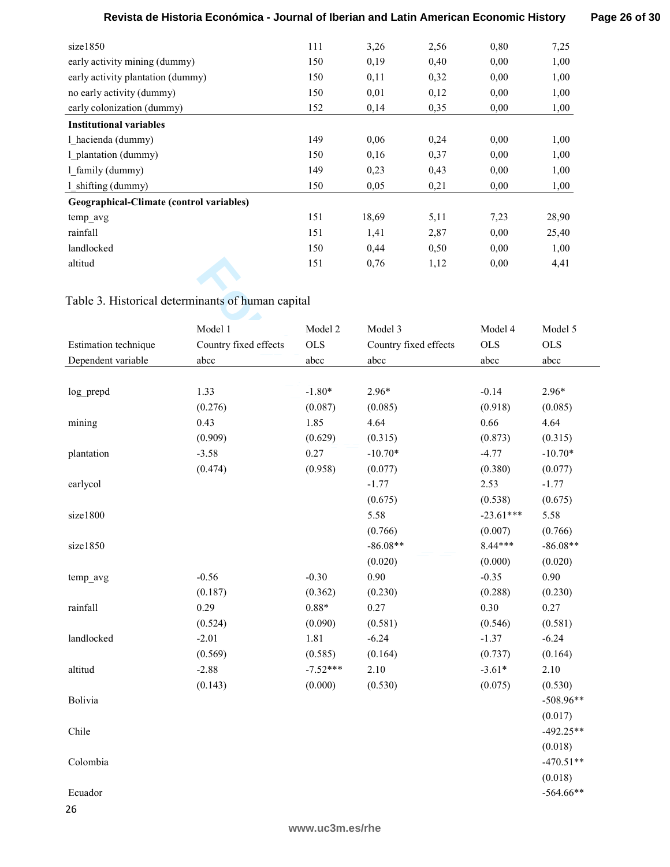# **Revista de Historia Económica - Journal of Iberian and Latin American Economic History**

**Page 26 of 30**

| size1850                                 | 111 | 3,26  | 2,56 | 0,80 | 7,25  |
|------------------------------------------|-----|-------|------|------|-------|
| early activity mining (dummy)            | 150 | 0,19  | 0,40 | 0,00 | 1,00  |
| early activity plantation (dummy)        | 150 | 0,11  | 0,32 | 0.00 | 1,00  |
| no early activity (dummy)                | 150 | 0,01  | 0,12 | 0,00 | 1,00  |
| early colonization (dummy)               | 152 | 0,14  | 0,35 | 0,00 | 1,00  |
| <b>Institutional variables</b>           |     |       |      |      |       |
| 1 hacienda (dummy)                       | 149 | 0.06  | 0,24 | 0.00 | 1,00  |
| 1 plantation (dummy)                     | 150 | 0,16  | 0,37 | 0,00 | 1,00  |
| 1 family (dummy)                         | 149 | 0,23  | 0.43 | 0.00 | 1,00  |
| $1$ shifting (dummy)                     | 150 | 0,05  | 0,21 | 0,00 | 1,00  |
| Geographical-Climate (control variables) |     |       |      |      |       |
| temp avg                                 | 151 | 18,69 | 5,11 | 7,23 | 28,90 |
| rainfall                                 | 151 | 1,41  | 2,87 | 0,00 | 25,40 |
| landlocked                               | 150 | 0,44  | 0,50 | 0,00 | 1,00  |
| altitud                                  | 151 | 0,76  | 1,12 | 0,00 | 4,41  |

# Table 3. Historical determinants of human capital

| altitud              |                                                   | 151        | 0,76                  | 1,12 | 0,00        | 4,41        |
|----------------------|---------------------------------------------------|------------|-----------------------|------|-------------|-------------|
|                      |                                                   |            |                       |      |             |             |
|                      | Table 3. Historical determinants of human capital |            |                       |      |             |             |
|                      | Model 1                                           | Model 2    | Model 3               |      | Model 4     | Model 5     |
| Estimation technique | Country fixed effects                             | <b>OLS</b> | Country fixed effects |      | <b>OLS</b>  | <b>OLS</b>  |
| Dependent variable   | abcc                                              | abcc       | abcc                  |      | abcc        | abcc        |
|                      |                                                   |            |                       |      |             |             |
| log prepd            | 1.33                                              | $-1.80*$   | $2.96*$               |      | $-0.14$     | $2.96*$     |
|                      | (0.276)                                           | (0.087)    | (0.085)               |      | (0.918)     | (0.085)     |
| mining               | 0.43                                              | 1.85       | 4.64                  |      | 0.66        | 4.64        |
|                      | (0.909)                                           | (0.629)    | (0.315)               |      | (0.873)     | (0.315)     |
| plantation           | $-3.58$                                           | 0.27       | $-10.70*$             |      | $-4.77$     | $-10.70*$   |
|                      | (0.474)                                           | (0.958)    | (0.077)               |      | (0.380)     | (0.077)     |
| earlycol             |                                                   |            | $-1.77$               |      | 2.53        | $-1.77$     |
|                      |                                                   |            | (0.675)               |      | (0.538)     | (0.675)     |
| size1800             |                                                   |            | 5.58                  |      | $-23.61***$ | 5.58        |
|                      |                                                   |            | (0.766)               |      | (0.007)     | (0.766)     |
| size1850             |                                                   |            | $-86.08**$            |      | 8.44***     | $-86.08**$  |
|                      |                                                   |            | (0.020)               |      | (0.000)     | (0.020)     |
| temp_avg             | $-0.56$                                           | $-0.30$    | 0.90                  |      | $-0.35$     | 0.90        |
|                      | (0.187)                                           | (0.362)    | (0.230)               |      | (0.288)     | (0.230)     |
| rainfall             | 0.29                                              | $0.88*$    | 0.27                  |      | 0.30        | 0.27        |
|                      | (0.524)                                           | (0.090)    | (0.581)               |      | (0.546)     | (0.581)     |
| landlocked           | $-2.01$                                           | 1.81       | $-6.24$               |      | $-1.37$     | $-6.24$     |
|                      | (0.569)                                           | (0.585)    | (0.164)               |      | (0.737)     | (0.164)     |
| altitud              | $-2.88$                                           | $-7.52***$ | 2.10                  |      | $-3.61*$    | 2.10        |
|                      | (0.143)                                           | (0.000)    | (0.530)               |      | (0.075)     | (0.530)     |
| Bolivia              |                                                   |            |                       |      |             | $-508.96**$ |
|                      |                                                   |            |                       |      |             | (0.017)     |
| Chile                |                                                   |            |                       |      |             | $-492.25**$ |
|                      |                                                   |            |                       |      |             | (0.018)     |
| Colombia             |                                                   |            |                       |      |             | $-470.51**$ |
|                      |                                                   |            |                       |      |             | (0.018)     |
| Ecuador              |                                                   |            |                       |      |             | $-564.66**$ |
| 26                   |                                                   |            |                       |      |             |             |
|                      |                                                   |            |                       |      |             |             |

### **www.uc3m.es/rhe**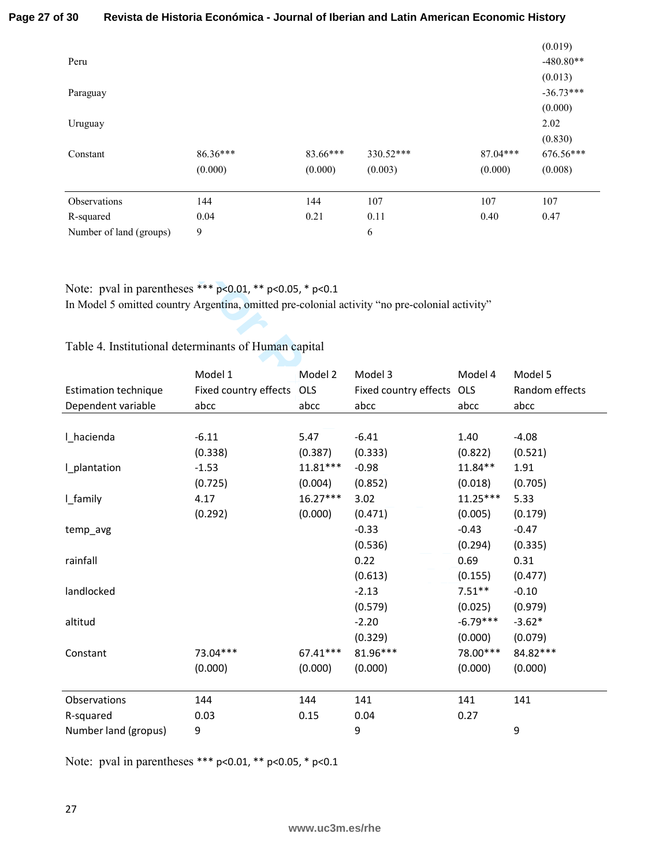### **Page 27 of 30 Revista de Historia Económica - Journal of Iberian and Latin American Economic History**

| Peru                    |                     |                     |                      |                       | (0.019)<br>$-480.80**$          |
|-------------------------|---------------------|---------------------|----------------------|-----------------------|---------------------------------|
| Paraguay                |                     |                     |                      |                       | (0.013)<br>$-36.73***$          |
| Uruguay                 |                     |                     |                      |                       | (0.000)<br>2.02                 |
| Constant                | 86.36***<br>(0.000) | 83.66***<br>(0.000) | 330.52***<br>(0.003) | $87.04***$<br>(0.000) | (0.830)<br>676.56***<br>(0.008) |
|                         |                     |                     |                      |                       |                                 |
| Observations            | 144                 | 144                 | 107                  | 107                   | 107                             |
| R-squared               | 0.04                | 0.21                | 0.11                 | 0.40                  | 0.47                            |
| Number of land (groups) | 9                   |                     | 6                    |                       |                                 |

# Table 4. Institutional determinants of Human capital

| Note: pval in parentheses *** p<0.01, ** p<0.05, * p<0.1<br>In Model 5 omitted country Argentina, omitted pre-colonial activity "no pre-colonial activity"<br>Table 4. Institutional determinants of Human capital |                           |            |                       |            |                |
|--------------------------------------------------------------------------------------------------------------------------------------------------------------------------------------------------------------------|---------------------------|------------|-----------------------|------------|----------------|
|                                                                                                                                                                                                                    | Model 1                   | Model 2    | Model 3               | Model 4    | Model 5        |
| <b>Estimation technique</b>                                                                                                                                                                                        | Fixed country effects OLS |            | Fixed country effects | OLS        | Random effects |
| Dependent variable                                                                                                                                                                                                 | abcc                      | abcc       | abcc                  | abcc       | abcc           |
|                                                                                                                                                                                                                    |                           |            |                       |            |                |
| I_hacienda                                                                                                                                                                                                         | $-6.11$                   | 5.47       | $-6.41$               | 1.40       | $-4.08$        |
|                                                                                                                                                                                                                    | (0.338)                   | (0.387)    | (0.333)               | (0.822)    | (0.521)        |
| I_plantation                                                                                                                                                                                                       | $-1.53$                   | $11.81***$ | $-0.98$               | 11.84**    | 1.91           |
|                                                                                                                                                                                                                    | (0.725)                   | (0.004)    | (0.852)               | (0.018)    | (0.705)        |
| I_family                                                                                                                                                                                                           | 4.17                      | $16.27***$ | 3.02                  | $11.25***$ | 5.33           |
|                                                                                                                                                                                                                    | (0.292)                   | (0.000)    | (0.471)               | (0.005)    | (0.179)        |
| temp_avg                                                                                                                                                                                                           |                           |            | $-0.33$               | $-0.43$    | $-0.47$        |
|                                                                                                                                                                                                                    |                           |            | (0.536)               | (0.294)    | (0.335)        |
| rainfall                                                                                                                                                                                                           |                           |            | 0.22                  | 0.69       | 0.31           |
|                                                                                                                                                                                                                    |                           |            | (0.613)               | (0.155)    | (0.477)        |
| landlocked                                                                                                                                                                                                         |                           |            | $-2.13$               | $7.51***$  | $-0.10$        |
|                                                                                                                                                                                                                    |                           |            | (0.579)               | (0.025)    | (0.979)        |
| altitud                                                                                                                                                                                                            |                           |            | $-2.20$               | $-6.79***$ | $-3.62*$       |
|                                                                                                                                                                                                                    |                           |            | (0.329)               | (0.000)    | (0.079)        |
| Constant                                                                                                                                                                                                           | 73.04***                  | $67.41***$ | 81.96***              | 78.00***   | 84.82***       |
|                                                                                                                                                                                                                    | (0.000)                   | (0.000)    | (0.000)               | (0.000)    | (0.000)        |
| Observations                                                                                                                                                                                                       | 144                       | 144        | 141                   | 141        | 141            |
| R-squared                                                                                                                                                                                                          | 0.03                      | 0.15       | 0.04                  | 0.27       |                |
| Number land (gropus)                                                                                                                                                                                               | 9                         |            | 9                     |            | 9              |

Note: pval in parentheses \*\*\* p<0.01, \*\* p<0.05, \* p<0.1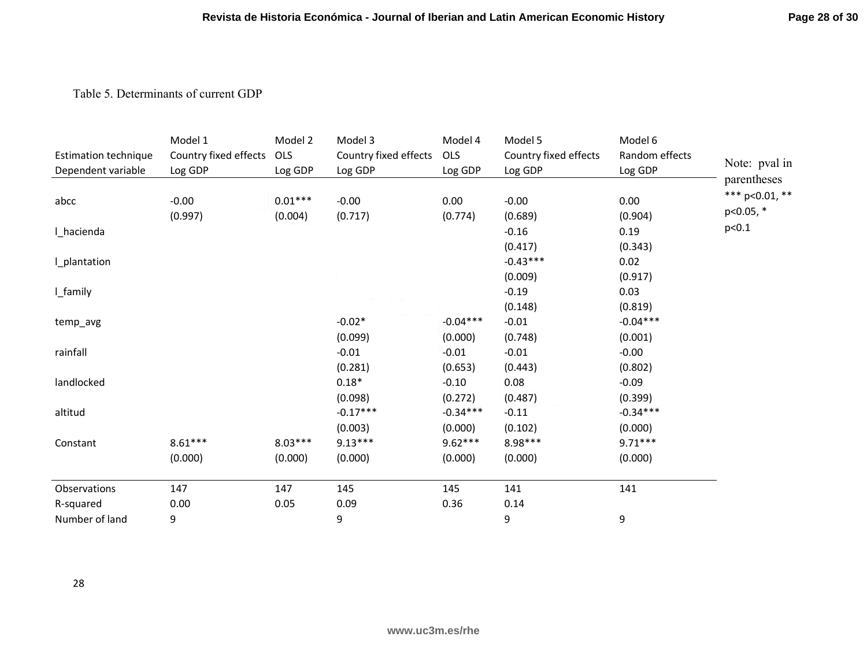# Table 5. Determinants of current GDP

|                             | Model 1               | Model 2   | Model 3               | Model 4    | Model 5               | Model 6        |                   |
|-----------------------------|-----------------------|-----------|-----------------------|------------|-----------------------|----------------|-------------------|
| <b>Estimation technique</b> | Country fixed effects | OLS       | Country fixed effects | OLS        | Country fixed effects | Random effects |                   |
| Dependent variable          | Log GDP               | Log GDP   | Log GDP               | Log GDP    | Log GDP               | Log GDP        | Note: pval in     |
|                             |                       |           |                       |            |                       |                | parentheses       |
| abcc                        | $-0.00$               | $0.01***$ | $-0.00$               | 0.00       | $-0.00$               | 0.00           | *** $p<0.01$ , ** |
|                             | (0.997)               | (0.004)   | (0.717)               | (0.774)    | (0.689)               | (0.904)        | p<0.05, *         |
| I_hacienda                  |                       |           |                       |            | $-0.16$               | 0.19           | p<0.1             |
|                             |                       |           |                       |            | (0.417)               | (0.343)        |                   |
| I_plantation                |                       |           |                       |            | $-0.43***$            | 0.02           |                   |
|                             |                       |           |                       |            | (0.009)               | (0.917)        |                   |
| I_family                    |                       |           |                       |            | $-0.19$               | 0.03           |                   |
|                             |                       |           |                       |            | (0.148)               | (0.819)        |                   |
| temp_avg                    |                       |           | $-0.02*$              | $-0.04***$ | $-0.01$               | $-0.04***$     |                   |
|                             |                       |           | (0.099)               | (0.000)    | (0.748)               | (0.001)        |                   |
| rainfall                    |                       |           | $-0.01$               | $-0.01$    | $-0.01$               | $-0.00$        |                   |
|                             |                       |           | (0.281)               | (0.653)    | (0.443)               | (0.802)        |                   |
| landlocked                  |                       |           | $0.18*$               | $-0.10$    | 0.08                  | $-0.09$        |                   |
|                             |                       |           | (0.098)               | (0.272)    | (0.487)               | (0.399)        |                   |
| altitud                     |                       |           | $-0.17***$            | $-0.34***$ | $-0.11$               | $-0.34***$     |                   |
|                             |                       |           | (0.003)               | (0.000)    | (0.102)               | (0.000)        |                   |
| Constant                    | $8.61***$             | $8.03***$ | $9.13***$             | $9.62***$  | 8.98***               | $9.71***$      |                   |
|                             | (0.000)               | (0.000)   | (0.000)               | (0.000)    | (0.000)               | (0.000)        |                   |
| Observations                | 147                   | 147       | 145                   | 145        | 141                   | 141            |                   |
| R-squared                   | 0.00                  | 0.05      | 0.09                  | 0.36       | 0.14                  |                |                   |
| Number of land              | 9                     |           | 9                     |            | 9                     | 9              |                   |